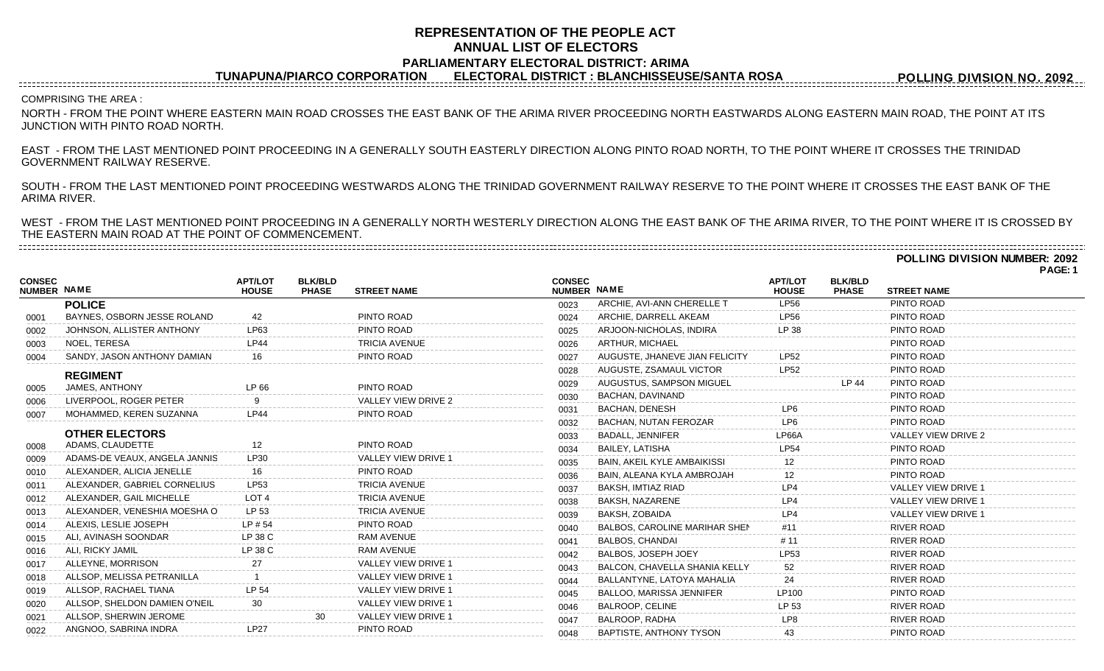## **REPRESENTATION OF THE PEOPLE ACT ANNUAL LIST OF ELECTORS PARLIAMENTARY ELECTORAL DISTRICT: ARIMA**

**TUNAPUNA/PIARCO CORPORATION ELECTORAL DISTRICT : BLANCHISSEUSE/SANTA ROSA**

**POLLING DIVISION NO. 2092**

## COMPRISING THE AREA :

NORTH - FROM THE POINT WHERE EASTERN MAIN ROAD CROSSES THE EAST BANK OF THE ARIMA RIVER PROCEEDING NORTH EASTWARDS ALONG EASTERN MAIN ROAD, THE POINT AT ITS JUNCTION WITH PINTO ROAD NORTH.

EAST - FROM THE LAST MENTIONED POINT PROCEEDING IN A GENERALLY SOUTH EASTERLY DIRECTION ALONG PINTO ROAD NORTH, TO THE POINT WHERE IT CROSSES THE TRINIDAD GOVERNMENT RAILWAY RESERVE.

SOUTH - FROM THE LAST MENTIONED POINT PROCEEDING WESTWARDS ALONG THE TRINIDAD GOVERNMENT RAILWAY RESERVE TO THE POINT WHERE IT CROSSES THE EAST BANK OF THE ARIMA RIVER.

WEST - FROM THE LAST MENTIONED POINT PROCEEDING IN A GENERALLY NORTH WESTERLY DIRECTION ALONG THE EAST BANK OF THE ARIMA RIVER, TO THE POINT WHERE IT IS CROSSED BY THE EASTERN MAIN ROAD AT THE POINT OF COMMENCEMENT.

**POLLING DIVISION NUMBER: 2092 PAGE: 1**

|                              |                               |                                |                                |                            |                                     |                                    |                                |                                |                            | г дос. |
|------------------------------|-------------------------------|--------------------------------|--------------------------------|----------------------------|-------------------------------------|------------------------------------|--------------------------------|--------------------------------|----------------------------|--------|
| <b>CONSEC</b><br>NUMBER NAME |                               | <b>APT/LOT</b><br><b>HOUSE</b> | <b>BLK/BLD</b><br><b>PHASE</b> | <b>STREET NAME</b>         | <b>CONSEC</b><br><b>NUMBER NAME</b> |                                    | <b>APT/LOT</b><br><b>HOUSE</b> | <b>BLK/BLD</b><br><b>PHASE</b> | <b>STREET NAME</b>         |        |
|                              | <b>POLICE</b>                 |                                |                                |                            | 0023                                | ARCHIE, AVI-ANN CHERELLE T         | <b>LP56</b>                    |                                | PINTO ROAD                 |        |
| 0001                         | BAYNES, OSBORN JESSE ROLAND   | 42                             |                                | PINTO ROAD                 | 0024                                | ARCHIE, DARRELL AKEAM              | LP56                           |                                | PINTO ROAD                 |        |
| 0002                         | JOHNSON, ALLISTER ANTHONY     | LP63                           |                                | PINTO ROAD                 | 0025                                | ARJOON-NICHOLAS, INDIRA            | LP 38                          |                                | PINTO ROAD                 |        |
| 0003                         | NOEL, TERESA                  | <b>LP44</b>                    |                                | <b>TRICIA AVENUE</b>       | 0026                                | ARTHUR, MICHAEL                    |                                |                                | PINTO ROAD                 |        |
| 0004                         | SANDY, JASON ANTHONY DAMIAN   |                                |                                | PINTO ROAD                 | 0027                                | AUGUSTE, JHANEVE JIAN FELICITY     | LP <sub>52</sub>               |                                | PINTO ROAD                 |        |
|                              | <b>REGIMENT</b>               |                                |                                |                            | 0028                                | AUGUSTE, ZSAMAUL VICTOR            | <b>LP52</b>                    |                                | PINTO ROAD                 |        |
| 0005                         | JAMES, ANTHONY                | IP 66                          |                                | PINTO ROAD                 | 0029                                | AUGUSTUS, SAMPSON MIGUEL           |                                | LP 44                          | PINTO ROAD                 |        |
| 0006                         | LIVERPOOL, ROGER PETER        |                                |                                | VALLEY VIEW DRIVE 2        | 0030                                | <b>BACHAN, DAVINAND</b>            |                                |                                | PINTO ROAD                 |        |
| 0007                         | MOHAMMED, KEREN SUZANNA       | <b>LP44</b>                    |                                | PINTO ROAD                 | 0031                                | <b>BACHAN, DENESH</b>              | LP6                            |                                | PINTO ROAD                 |        |
|                              |                               |                                |                                |                            | 0032                                | BACHAN, NUTAN FEROZAR              | LP <sub>6</sub>                |                                | PINTO ROAD                 |        |
|                              | <b>OTHER ELECTORS</b>         |                                |                                |                            | 0033                                | <b>BADALL, JENNIFER</b>            | LP66A                          |                                | VALLEY VIEW DRIVE 2        |        |
| 0008                         | ADAMS, CLAUDETTE              | 12                             |                                | PINTO ROAD                 | 0034                                | <b>BAILEY, LATISHA</b>             | <b>LP54</b>                    |                                | PINTO ROAD                 |        |
| 0009                         | ADAMS-DE VEAUX, ANGELA JANNIS | LP30                           |                                | VALLEY VIEW DRIVE 1        | 0035                                | <b>BAIN, AKEIL KYLE AMBAIKISSI</b> |                                |                                | PINTO ROAD                 |        |
| 0010                         | ALEXANDER, ALICIA JENELLE     | 16                             |                                | PINTO ROAD                 | 0036                                | BAIN, ALEANA KYLA AMBROJAH         |                                |                                | PINTO ROAD                 |        |
| 0011                         | ALEXANDER, GABRIEL CORNELIUS  | LP53                           |                                | <b>TRICIA AVENUE</b>       | 0037                                | BAKSH, IMTIAZ RIAD                 | LP4                            |                                | VALLEY VIEW DRIVE          |        |
| 0012                         | ALEXANDER, GAIL MICHELLE      | LOT <sub>4</sub>               |                                | <b>TRICIA AVENUE</b>       | 0038                                | BAKSH. NAZARENE                    | LP4                            |                                | <b>VALLEY VIEW DRIVE 1</b> |        |
| 0013                         | ALEXANDER, VENESHIA MOESHA O  | LP 53                          |                                | <b>TRICIA AVENUE</b>       | 0039                                | BAKSH, ZOBAIDA                     | l P4                           |                                | VALLEY VIEW DRIVE 1        |        |
| 0014                         | ALEXIS, LESLIE JOSEPH         | $LP$ # 54                      |                                | PINTO ROAD                 | 0040                                | BALBOS, CAROLINE MARIHAR SHEN      | #11                            |                                | <b>RIVER ROAD</b>          |        |
| 0015                         | ALI, AVINASH SOONDAR          | LP 38 C                        |                                | <b>RAM AVENUE</b>          | 0041                                | <b>BALBOS, CHANDAI</b>             | # $11$                         |                                | <b>RIVER ROAD</b>          |        |
| 0016                         | ALI, RICKY JAMIL              | LP 38 C                        |                                | <b>RAM AVENUE</b>          | 0042                                | BALBOS, JOSEPH JOEY                | <b>LP53</b>                    |                                | <b>RIVER ROAD</b>          |        |
| 0017                         | ALLEYNE, MORRISON             |                                |                                | VALLEY VIEW DRIVE 1        | 0043                                | BALCON, CHAVELLA SHANIA KELLY      | 52                             |                                | <b>RIVER ROAD</b>          |        |
| 0018                         | ALLSOP, MELISSA PETRANILLA    |                                |                                | <b>VALLEY VIEW DRIVE 1</b> | 0044                                | BALLANTYNE, LATOYA MAHALIA         | 24                             |                                | <b>RIVER ROAD</b>          |        |
| 0019                         | ALLSOP, RACHAEL TIANA         |                                |                                | VALLEY VIEW DRIVE 1        | 0045                                | <b>BALLOO, MARISSA JENNIFER</b>    | LP100                          |                                | PINTO ROAD                 |        |
| 0020                         | ALLSOP, SHELDON DAMIEN O'NEIL |                                |                                | VALLEY VIEW DRIVE 1        | 0046                                | <b>BALROOP, CELINE</b>             | LP 53                          |                                | <b>RIVER ROAD</b>          |        |
| 0021                         | ALLSOP, SHERWIN JEROME        |                                | 30                             | <b>VALLEY VIEW DRIVE 1</b> | 0047                                | BALROOP, RADHA                     | LP8                            |                                | <b>RIVER ROAD</b>          |        |
| 0022                         | ANGNOO, SABRINA INDRA         | <b>LP27</b>                    |                                | PINTO ROAD                 | 0048                                | BAPTISTE, ANTHONY TYSON            | 43                             |                                | PINTO ROAD                 |        |
|                              |                               |                                |                                |                            |                                     |                                    |                                |                                |                            |        |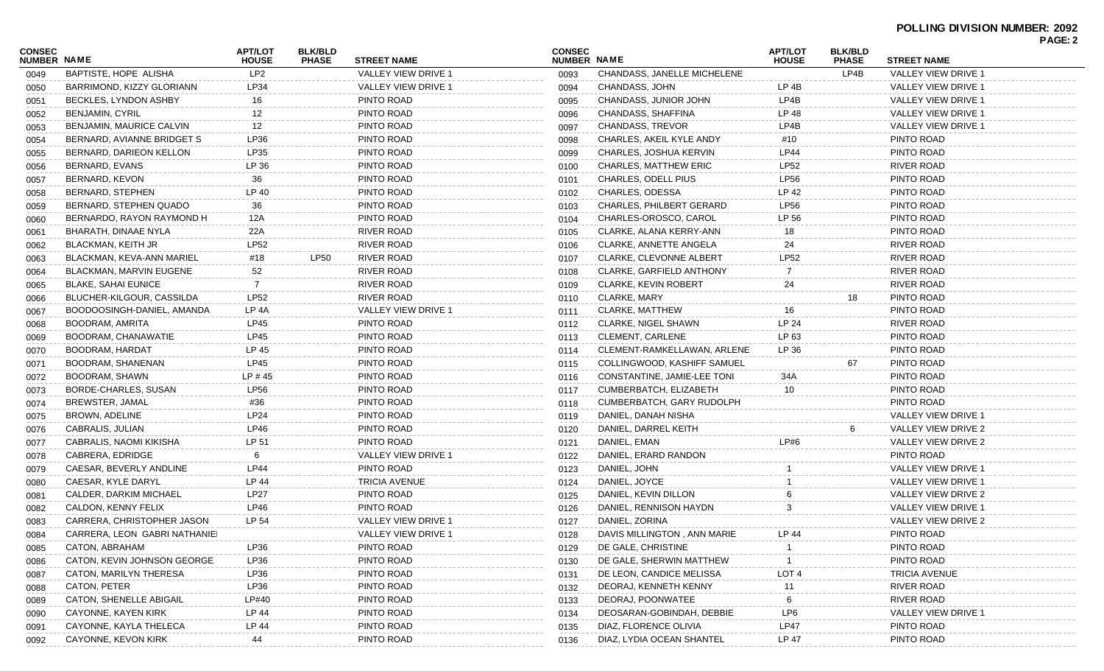| CONSEC<br><b>NUMBER NAME</b> |                               | <b>APT/LOT</b><br><b>HOUSE</b> | <b>BLK/BLD</b><br><b>PHASE</b> | <b>STREET NAME</b>   | <b>CONSEC</b><br><b>NUMBER NAME</b> |                                 | <b>APT/LOT</b><br><b>HOUSE</b> | <b>BLK/BLD</b><br><b>PHASE</b> | <b>STREET NAME</b>   | <b>PAGE: 2</b> |
|------------------------------|-------------------------------|--------------------------------|--------------------------------|----------------------|-------------------------------------|---------------------------------|--------------------------------|--------------------------------|----------------------|----------------|
| 0049                         | BAPTISTE, HOPE ALISHA         | LP <sub>2</sub>                |                                | VALLEY VIEW DRIVE 1  | 0093                                | CHANDASS, JANELLE MICHELENE     |                                | LP4B                           | VALLEY VIEW DRIVE 1  |                |
| 0050                         | BARRIMOND, KIZZY GLORIANN     | LP34                           |                                | VALLEY VIEW DRIVE 1  | 0094                                | CHANDASS, JOHN                  | LP 4B                          |                                | VALLEY VIEW DRIVE 1  |                |
| 0051                         | BECKLES, LYNDON ASHBY         | 16                             |                                | PINTO ROAD           | 0095                                | CHANDASS, JUNIOR JOHN           | LP4B                           |                                | VALLEY VIEW DRIVE 1  |                |
| 0052                         | <b>BENJAMIN, CYRIL</b>        | 12                             |                                | PINTO ROAD           | 0096                                | CHANDASS, SHAFFINA              | LP 48                          |                                | VALLEY VIEW DRIVE 1  |                |
| 0053                         | BENJAMIN, MAURICE CALVIN      | 12                             |                                | PINTO ROAD           | 0097                                | <b>CHANDASS, TREVOR</b>         | LP4B                           |                                | VALLEY VIEW DRIVE 1  |                |
| 0054                         | BERNARD, AVIANNE BRIDGET S    | LP36                           |                                | PINTO ROAD           | 0098                                | CHARLES, AKEIL KYLE ANDY        | #10                            |                                | PINTO ROAD           |                |
| 0055                         | BERNARD, DARIEON KELLON       | LP35                           |                                | PINTO ROAD           | 0099                                | CHARLES, JOSHUA KERVIN          | <b>LP44</b>                    |                                | PINTO ROAD           |                |
| 0056                         | BERNARD, EVANS                | LP 36                          |                                | PINTO ROAD           | 0100                                | <b>CHARLES, MATTHEW ERIC</b>    | LP52                           |                                | <b>RIVER ROAD</b>    |                |
| 0057                         | BERNARD, KEVON                | 36                             |                                | PINTO ROAD           | 0101                                | CHARLES, ODELL PIUS             | <b>LP56</b>                    |                                | PINTO ROAD           |                |
| 0058                         | BERNARD, STEPHEN              | LP 40                          |                                | PINTO ROAD           | 0102                                | CHARLES, ODESSA                 | LP 42                          |                                | PINTO ROAD           |                |
| 0059                         | BERNARD, STEPHEN QUADO        | 36                             |                                | PINTO ROAD           | 0103                                | <b>CHARLES, PHILBERT GERARD</b> | <b>LP56</b>                    |                                | PINTO ROAD           |                |
| 0060                         | BERNARDO, RAYON RAYMOND H     | 12A                            |                                | PINTO ROAD           | 0104                                | CHARLES-OROSCO, CAROL           | LP 56                          |                                | PINTO ROAD           |                |
| 0061                         | BHARATH, DINAAE NYLA          | 22A                            |                                | <b>RIVER ROAD</b>    | 0105                                | CLARKE, ALANA KERRY-ANN         | 18                             |                                | PINTO ROAD           |                |
| 0062                         | BLACKMAN, KEITH JR            | <b>LP52</b>                    |                                | <b>RIVER ROAD</b>    | 0106                                | CLARKE, ANNETTE ANGELA          | 24                             |                                | <b>RIVER ROAD</b>    |                |
| 0063                         | BLACKMAN, KEVA-ANN MARIEL     | #18                            | <b>LP50</b>                    | <b>RIVER ROAD</b>    | 0107                                | <b>CLARKE, CLEVONNE ALBERT</b>  | LP52                           |                                | <b>RIVER ROAD</b>    |                |
| 0064                         | BLACKMAN, MARVIN EUGENE       | 52                             |                                | RIVER ROAD           | 0108                                | <b>CLARKE, GARFIELD ANTHONY</b> |                                |                                | <b>RIVER ROAD</b>    |                |
| 0065                         | <b>BLAKE, SAHAI EUNICE</b>    | 7                              |                                | RIVER ROAD           | 0109                                | <b>CLARKE, KEVIN ROBERT</b>     | 24                             |                                | <b>RIVER ROAD</b>    |                |
| 0066                         | BLUCHER-KILGOUR, CASSILDA     | <b>LP52</b>                    |                                | RIVER ROAD           | 0110                                | CLARKE, MARY                    |                                | 18                             | PINTO ROAD           |                |
| 0067                         | BOODOOSINGH-DANIEL, AMANDA    | LP 4A                          |                                | VALLEY VIEW DRIVE 1  | 0111                                | <b>CLARKE, MATTHEW</b>          | 16                             |                                | PINTO ROAD           |                |
| 0068                         | BOODRAM, AMRITA               | LP45                           |                                | PINTO ROAD           | 0112                                | <b>CLARKE, NIGEL SHAWN</b>      | <b>LP 24</b>                   |                                | <b>RIVER ROAD</b>    |                |
| 0069                         | BOODRAM, CHANAWATIE           | <b>LP45</b>                    |                                | PINTO ROAD           | 0113                                | <b>CLEMENT, CARLENE</b>         | LP 63                          |                                | PINTO ROAD           |                |
| 0070                         | BOODRAM, HARDAT               | LP 45                          |                                | PINTO ROAD           | 0114                                | CLEMENT-RAMKELLAWAN, ARLENE     | LP 36                          |                                | PINTO ROAD           |                |
| 0071                         | BOODRAM, SHANENAN             | <b>LP45</b>                    |                                | PINTO ROAD           | 0115                                | COLLINGWOOD, KASHIFF SAMUEL     |                                | 67                             | PINTO ROAD           |                |
| 0072                         | BOODRAM, SHAWN                | LP #45                         |                                | PINTO ROAD           | 0116                                | CONSTANTINE, JAMIE-LEE TONI     | 34A                            |                                | PINTO ROAD           |                |
| 0073                         | BORDE-CHARLES, SUSAN          | <b>LP56</b>                    |                                | PINTO ROAD           | 0117                                | CUMBERBATCH, ELIZABETH          | 10                             |                                | PINTO ROAD           |                |
| 0074                         | BREWSTER, JAMAL               | #36                            |                                | PINTO ROAD           | 0118                                | CUMBERBATCH, GARY RUDOLPH       |                                |                                | PINTO ROAD           |                |
| 0075                         | BROWN, ADELINE                | LP24                           |                                | PINTO ROAD           | 0119                                | DANIEL, DANAH NISHA             |                                |                                | VALLEY VIEW DRIVE 1  |                |
| 0076                         | CABRALIS, JULIAN              | LP46                           |                                | PINTO ROAD           | 0120                                | DANIEL, DARREL KEITH            |                                | 6                              | VALLEY VIEW DRIVE 2  |                |
| 0077                         | CABRALIS, NAOMI KIKISHA       | LP 51                          |                                | PINTO ROAD           | 0121                                | DANIEL, EMAN                    | LP#6                           |                                | VALLEY VIEW DRIVE 2  |                |
| 0078                         | CABRERA, EDRIDGE              | 6                              |                                | VALLEY VIEW DRIVE 1  | 0122                                | DANIEL, ERARD RANDON            |                                |                                | PINTO ROAD           |                |
| 0079                         | CAESAR, BEVERLY ANDLINE       | LP44                           |                                | PINTO ROAD           | 0123                                | DANIEL, JOHN                    |                                |                                | VALLEY VIEW DRIVE 1  |                |
| 0080                         | CAESAR, KYLE DARYL            | LP 44                          |                                | <b>TRICIA AVENUE</b> | 0124                                | DANIEL, JOYCE                   |                                |                                | VALLEY VIEW DRIVE 1  |                |
| 0081                         | CALDER, DARKIM MICHAEL        | <b>LP27</b>                    |                                | PINTO ROAD           | 0125                                | DANIEL, KEVIN DILLON            |                                |                                | VALLEY VIEW DRIVE 2  |                |
| 0082                         | CALDON, KENNY FELIX           | LP46                           |                                | PINTO ROAD           | 0126                                | DANIEL, RENNISON HAYDN          |                                |                                | VALLEY VIEW DRIVE 1  |                |
| 0083                         | CARRERA, CHRISTOPHER JASON    | LP 54                          |                                | VALLEY VIEW DRIVE 1  | 0127                                | DANIEL, ZORINA                  |                                |                                | VALLEY VIEW DRIVE 2  |                |
| 0084                         | CARRERA, LEON GABRI NATHANIEI |                                |                                | VALLEY VIEW DRIVE 1  | 0128                                | DAVIS MILLINGTON, ANN MARIE     | LP 44                          |                                | PINTO ROAD           |                |
| 0085                         | CATON, ABRAHAM                | LP36                           |                                | PINTO ROAD           | 0129                                | DE GALE, CHRISTINE              |                                |                                | PINTO ROAD           |                |
| 0086                         | CATON, KEVIN JOHNSON GEORGE   | LP36                           |                                | PINTO ROAD           | 0130                                | DE GALE, SHERWIN MATTHEW        |                                |                                | PINTO ROAD           |                |
| 0087                         | CATON, MARILYN THERESA        | LP36                           |                                | PINTO ROAD           | 0131                                | DE LEON, CANDICE MELISSA        | LOT <sub>4</sub>               |                                | <b>TRICIA AVENUE</b> |                |
| 0088                         | CATON, PETER                  | LP36                           |                                | PINTO ROAD           | 0132                                | DEORAJ, KENNETH KENNY           | 11                             |                                | <b>RIVER ROAD</b>    |                |
| 0089                         | CATON, SHENELLE ABIGAIL       | LP#40                          |                                | PINTO ROAD           | 0133                                | DEORAJ, POONWATEE               |                                |                                | <b>RIVER ROAD</b>    |                |
| 0090                         | CAYONNE, KAYEN KIRK           | LP 44                          |                                | PINTO ROAD           | 0134                                | DEOSARAN-GOBINDAH, DEBBIE       | LP6                            |                                | VALLEY VIEW DRIVE 1  |                |
| 0091                         | CAYONNE, KAYLA THELECA        | LP 44                          |                                | PINTO ROAD           | 0135                                | DIAZ, FLORENCE OLIVIA           | <b>LP47</b>                    |                                | PINTO ROAD           |                |
| 0092                         | CAYONNE, KEVON KIRK           | 44                             |                                | PINTO ROAD           | 0136                                | DIAZ, LYDIA OCEAN SHANTEL       | LP 47                          |                                | PINTO ROAD           |                |
|                              |                               |                                |                                |                      |                                     |                                 |                                |                                |                      |                |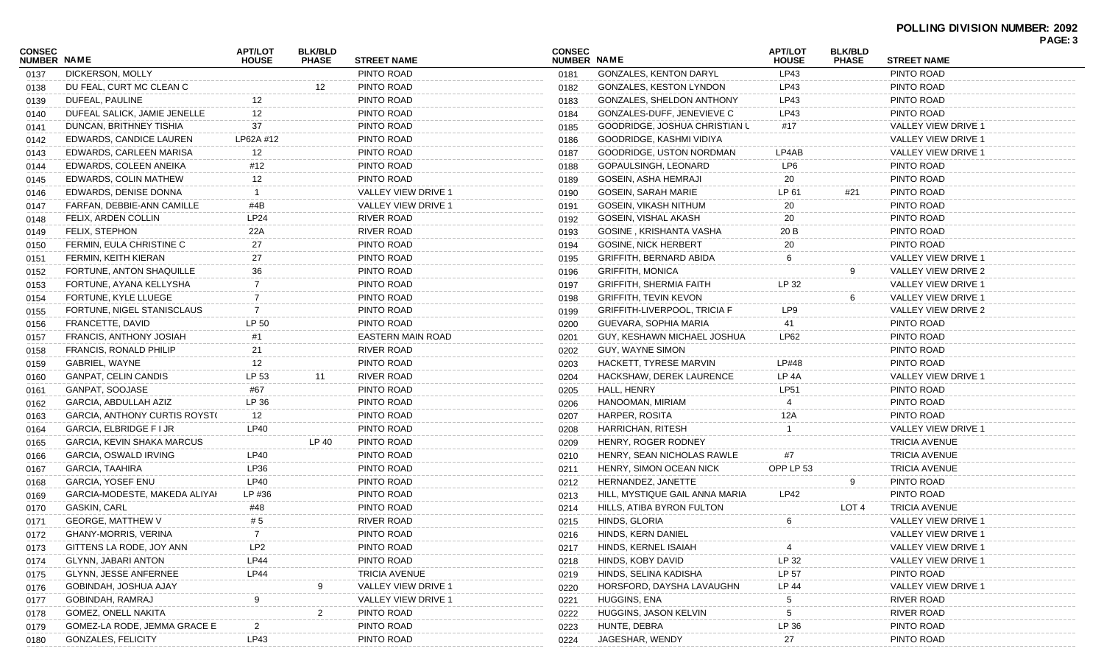| <b>CONSEC</b><br><b>NUMBER NAME</b> |                                      | <b>APT/LOT</b><br><b>HOUSE</b> | <b>BLK/BLD</b><br><b>PHASE</b> | <b>STREET NAME</b>       | <b>CONSEC</b><br>NUMBER NAME |                                     | <b>APT/LOT</b><br><b>HOUSE</b> | <b>BLK/BLD</b><br><b>PHASE</b> | <b>STREET NAME</b>   | . AVL. J |
|-------------------------------------|--------------------------------------|--------------------------------|--------------------------------|--------------------------|------------------------------|-------------------------------------|--------------------------------|--------------------------------|----------------------|----------|
| 0137                                | DICKERSON, MOLLY                     |                                |                                | PINTO ROAD               | 0181                         | <b>GONZALES, KENTON DARYL</b>       | LP43                           |                                | PINTO ROAD           |          |
| 0138                                | DU FEAL, CURT MC CLEAN C             |                                | 12 <sup>°</sup>                | PINTO ROAD               | 0182                         | <b>GONZALES, KESTON LYNDON</b>      | LP43                           |                                | PINTO ROAD           |          |
| 0139                                | DUFEAL, PAULINE                      | 12                             |                                | PINTO ROAD               | 0183                         | GONZALES, SHELDON ANTHONY           | LP43                           |                                | PINTO ROAD           |          |
| 0140                                | DUFEAL SALICK, JAMIE JENELLE         | 12                             |                                | PINTO ROAD               | 0184                         | GONZALES-DUFF, JENEVIEVE C          | LP43                           |                                | PINTO ROAD           |          |
| 0141                                | DUNCAN, BRITHNEY TISHIA              | 37                             |                                | PINTO ROAD               | 0185                         | GOODRIDGE, JOSHUA CHRISTIAN L       | #17                            |                                | VALLEY VIEW DRIVE 1  |          |
| 0142                                | EDWARDS, CANDICE LAUREN              | LP62A #12                      |                                | PINTO ROAD               | 0186                         | GOODRIDGE, KASHMI VIDIYA            |                                |                                | VALLEY VIEW DRIVE 1  |          |
| 0143                                | EDWARDS, CARLEEN MARISA              | 12                             |                                | PINTO ROAD               | 0187                         | <b>GOODRIDGE, USTON NORDMAN</b>     | LP4AB                          |                                | VALLEY VIEW DRIVE 1  |          |
| 0144                                | EDWARDS, COLEEN ANEIKA               | #12                            |                                | PINTO ROAD               | 0188                         | GOPAULSINGH, LEONARD                | LP6                            |                                | PINTO ROAD           |          |
| 0145                                | EDWARDS, COLIN MATHEW                | 12                             |                                | PINTO ROAD               | 0189                         | GOSEIN, ASHA HEMRAJI                | 20                             |                                | PINTO ROAD           |          |
| 0146                                | EDWARDS, DENISE DONNA                | - 1                            |                                | VALLEY VIEW DRIVE 1      | 0190                         | GOSEIN, SARAH MARIE                 | LP 61                          | #21                            | PINTO ROAD           |          |
| 0147                                | FARFAN, DEBBIE-ANN CAMILLE           | #4B                            |                                | VALLEY VIEW DRIVE 1      | 0191                         | GOSEIN, VIKASH NITHUM               | 20                             |                                | PINTO ROAD           |          |
| 0148                                | FELIX, ARDEN COLLIN                  | LP24                           |                                | RIVER ROAD               | 0192                         | GOSEIN, VISHAL AKASH                | 20                             |                                | PINTO ROAD           |          |
| 0149                                | FELIX, STEPHON                       | 22A                            |                                | RIVER ROAD               | 0193                         | GOSINE, KRISHANTA VASHA             | 20 B                           |                                | PINTO ROAD           |          |
| 0150                                | FERMIN, EULA CHRISTINE C             | 27                             |                                | PINTO ROAD               | 0194                         | <b>GOSINE, NICK HERBERT</b>         | 20                             |                                | PINTO ROAD           |          |
| 0151                                | FERMIN, KEITH KIERAN                 | 27                             |                                | PINTO ROAD               | 0195                         | GRIFFITH, BERNARD ABIDA             | 6                              |                                | VALLEY VIEW DRIVE 1  |          |
| 0152                                | FORTUNE, ANTON SHAQUILLE             | 36                             |                                | PINTO ROAD               | 0196                         | <b>GRIFFITH, MONICA</b>             |                                |                                | VALLEY VIEW DRIVE 2  |          |
| 0153                                | FORTUNE, AYANA KELLYSHA              | 7                              |                                | PINTO ROAD               | 0197                         | <b>GRIFFITH, SHERMIA FAITH</b>      | LP 32                          |                                | VALLEY VIEW DRIVE 1  |          |
| 0154                                | FORTUNE, KYLE LLUEGE                 | 7                              |                                | PINTO ROAD               | 0198                         | <b>GRIFFITH, TEVIN KEVON</b>        |                                |                                | VALLEY VIEW DRIVE 1  |          |
| 0155                                | FORTUNE, NIGEL STANISCLAUS           | 7                              |                                | PINTO ROAD               | 0199                         | <b>GRIFFITH-LIVERPOOL, TRICIA F</b> | LP9                            |                                | VALLEY VIEW DRIVE 2  |          |
| 0156                                | FRANCETTE, DAVID                     | LP 50                          |                                | PINTO ROAD               | 0200                         | GUEVARA, SOPHIA MARIA               | 41                             |                                | PINTO ROAD           |          |
| 0157                                | FRANCIS, ANTHONY JOSIAH              | #1                             |                                | <b>EASTERN MAIN ROAD</b> | 0201                         | GUY, KESHAWN MICHAEL JOSHUA         | LP62                           |                                | PINTO ROAD           |          |
| 0158                                | <b>FRANCIS, RONALD PHILIP</b>        | 21                             |                                | RIVER ROAD               | 0202                         | GUY, WAYNE SIMON                    |                                |                                | PINTO ROAD           |          |
| 0159                                | GABRIEL, WAYNE                       | 12                             |                                | PINTO ROAD               | 0203                         | HACKETT, TYRESE MARVIN              | LP#48                          |                                | PINTO ROAD           |          |
| 0160                                | GANPAT, CELIN CANDIS                 | LP 53                          | 11                             | RIVER ROAD               | 0204                         | HACKSHAW, DEREK LAURENCE            | LP 4A                          |                                | VALLEY VIEW DRIVE 1  |          |
| 0161                                | GANPAT, SOOJASE                      | #67                            |                                | PINTO ROAD               | 0205                         | HALL, HENRY                         | <b>LP51</b>                    |                                | PINTO ROAD           |          |
| 0162                                | GARCIA, ABDULLAH AZIZ                | LP 36                          |                                | PINTO ROAD               | 0206                         | HANOOMAN, MIRIAM                    |                                |                                | PINTO ROAD           |          |
| 0163                                | <b>GARCIA, ANTHONY CURTIS ROYST(</b> | 12                             |                                | PINTO ROAD               | 0207                         | HARPER, ROSITA                      | 12A                            |                                | PINTO ROAD           |          |
| 0164                                | GARCIA, ELBRIDGE F I JR              | <b>LP40</b>                    |                                | PINTO ROAD               | 0208                         | HARRICHAN, RITESH                   |                                |                                | VALLEY VIEW DRIVE 1  |          |
| 0165                                | GARCIA, KEVIN SHAKA MARCUS           |                                | LP 40                          | PINTO ROAD               | 0209                         | HENRY, ROGER RODNEY                 |                                |                                | <b>TRICIA AVENUE</b> |          |
| 0166                                | <b>GARCIA, OSWALD IRVING</b>         | LP40                           |                                | PINTO ROAD               | 0210                         | HENRY, SEAN NICHOLAS RAWLE          |                                |                                | <b>TRICIA AVENUE</b> |          |
| 0167                                | <b>GARCIA, TAAHIRA</b>               | LP36                           |                                | PINTO ROAD               | 0211                         | HENRY, SIMON OCEAN NICK             | OPP LP 53                      |                                | <b>TRICIA AVENUE</b> |          |
| 0168                                | GARCIA, YOSEF ENU                    | LP40                           |                                | PINTO ROAD               | 0212                         | HERNANDEZ, JANETTE                  |                                |                                | PINTO ROAD           |          |
| 0169                                | GARCIA-MODESTE, MAKEDA ALIYAI        | LP #36                         |                                | PINTO ROAD               | 0213                         | HILL, MYSTIQUE GAIL ANNA MARIA      | LP42                           |                                | PINTO ROAD           |          |
| 0170                                | <b>GASKIN, CARL</b>                  | #48                            |                                | PINTO ROAD               | 0214                         | HILLS, ATIBA BYRON FULTON           |                                | LOT 4                          | <b>TRICIA AVENUE</b> |          |
| 0171                                | <b>GEORGE, MATTHEW V</b>             | #5                             |                                | RIVER ROAD               | 0215                         | HINDS, GLORIA                       | 6                              |                                | VALLEY VIEW DRIVE 1  |          |
| 0172                                | GHANY-MORRIS, VERINA                 |                                |                                | PINTO ROAD               | 0216                         | HINDS, KERN DANIEL                  |                                |                                | VALLEY VIEW DRIVE 1  |          |
| 0173                                | GITTENS LA RODE, JOY ANN             | LP <sub>2</sub>                |                                | PINTO ROAD               | 0217                         | HINDS, KERNEL ISAIAH                |                                |                                | VALLEY VIEW DRIVE 1  |          |
| 0174                                | <b>GLYNN, JABARI ANTON</b>           | LP44                           |                                | PINTO ROAD               | 0218                         | HINDS, KOBY DAVID                   | LP 32                          |                                | VALLEY VIEW DRIVE 1  |          |
| 0175                                | GLYNN, JESSE ANFERNEE                | LP44                           |                                | <b>TRICIA AVENUE</b>     | 0219                         | HINDS, SELINA KADISHA               | LP 57                          |                                | PINTO ROAD           |          |
| 0176                                | GOBINDAH, JOSHUA AJAY                |                                |                                | VALLEY VIEW DRIVE 1      | 0220                         | HORSFORD, DAYSHA LAVAUGHN           | LP 44                          |                                | VALLEY VIEW DRIVE 1  |          |
| 0177                                | GOBINDAH, RAMRAJ                     | 9                              |                                | VALLEY VIEW DRIVE 1      | 0221                         | HUGGINS, ENA                        |                                |                                | RIVER ROAD           |          |
| 0178                                | GOMEZ, ONELL NAKITA                  |                                |                                | PINTO ROAD               | 0222                         | HUGGINS, JASON KELVIN               | 5                              |                                | <b>RIVER ROAD</b>    |          |
| 0179                                | GOMEZ-LA RODE, JEMMA GRACE E         | 2                              |                                | PINTO ROAD               | 0223                         | HUNTE, DEBRA                        | LP 36                          |                                | PINTO ROAD           |          |
| 0180                                | GONZALES, FELICITY                   | LP43                           |                                | PINTO ROAD               | 0224                         | JAGESHAR, WENDY                     | 27                             |                                | PINTO ROAD           |          |
|                                     |                                      |                                |                                |                          |                              |                                     |                                |                                |                      |          |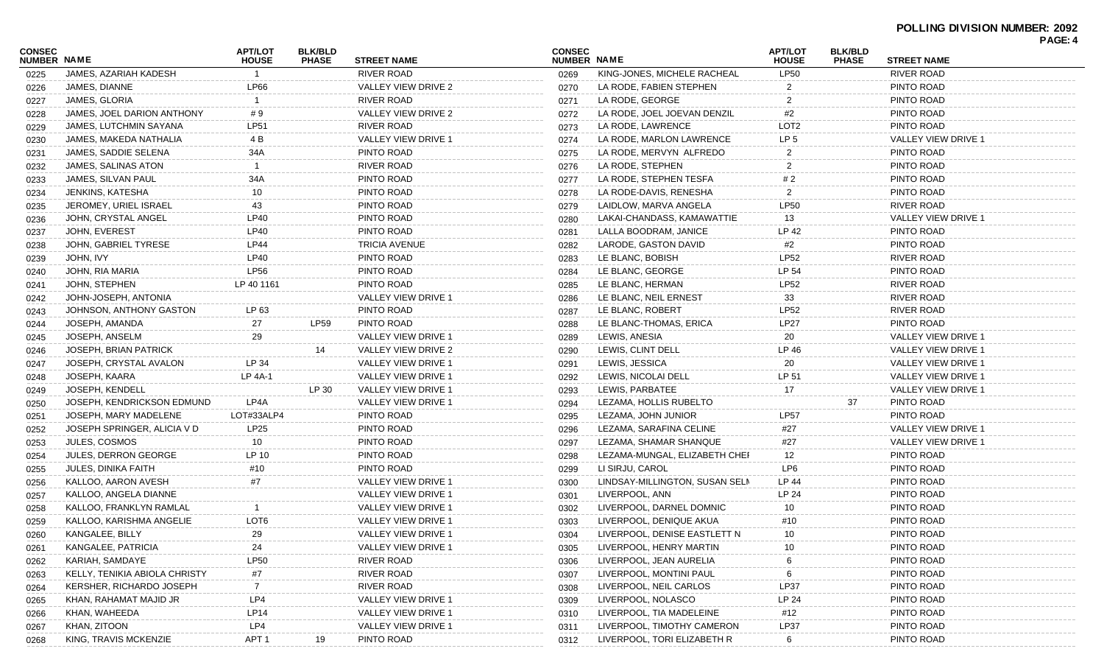|                              |                               |                                |                                |                            |                              |                                |                                |                                |                     | PAGE: 4 |
|------------------------------|-------------------------------|--------------------------------|--------------------------------|----------------------------|------------------------------|--------------------------------|--------------------------------|--------------------------------|---------------------|---------|
| CONSEC<br><b>NUMBER NAME</b> |                               | <b>APT/LOT</b><br><b>HOUSE</b> | <b>BLK/BLD</b><br><b>PHASE</b> | <b>STREET NAME</b>         | <b>CONSEC</b><br>NUMBER NAME |                                | <b>APT/LOT</b><br><b>HOUSE</b> | <b>BLK/BLD</b><br><b>PHASE</b> | <b>STREET NAME</b>  |         |
| 0225                         | JAMES, AZARIAH KADESH         |                                |                                | <b>RIVER ROAD</b>          | 0269                         | KING-JONES, MICHELE RACHEAL    | <b>LP50</b>                    |                                | <b>RIVER ROAD</b>   |         |
| 0226                         | JAMES, DIANNE                 | <b>LP66</b>                    |                                | VALLEY VIEW DRIVE 2        | 0270                         | LA RODE, FABIEN STEPHEN        |                                |                                | PINTO ROAD          |         |
| 0227                         | JAMES, GLORIA                 |                                |                                | <b>RIVER ROAD</b>          | 0271                         | LA RODE, GEORGE                | 2                              |                                | PINTO ROAD          |         |
| 0228                         | JAMES, JOEL DARION ANTHONY    | #9                             |                                | VALLEY VIEW DRIVE 2        | 0272                         | LA RODE, JOEL JOEVAN DENZIL    | #2                             |                                | PINTO ROAD          |         |
| 0229                         | JAMES, LUTCHMIN SAYANA        | <b>LP51</b>                    |                                | <b>RIVER ROAD</b>          | 0273                         | LA RODE, LAWRENCE              | LOT <sub>2</sub>               |                                | PINTO ROAD          |         |
| 0230                         | JAMES, MAKEDA NATHALIA        | 4 B                            |                                | VALLEY VIEW DRIVE 1        | 0274                         | LA RODE, MARLON LAWRENCE       | LP <sub>5</sub>                |                                | VALLEY VIEW DRIVE 1 |         |
| 0231                         | JAMES, SADDIE SELENA          | 34A                            |                                | PINTO ROAD                 | 0275                         | LA RODE, MERVYN ALFREDO        | 2                              |                                | PINTO ROAD          |         |
| 0232                         | JAMES, SALINAS ATON           |                                |                                | <b>RIVER ROAD</b>          | 0276                         | LA RODE, STEPHEN               | 2                              |                                | PINTO ROAD          |         |
| 0233                         | JAMES, SILVAN PAUL            | 34A                            |                                | PINTO ROAD                 | 0277                         | LA RODE, STEPHEN TESFA         | #2                             |                                | PINTO ROAD          |         |
| 0234                         | JENKINS, KATESHA              | 10                             |                                | PINTO ROAD                 | 0278                         | LA RODE-DAVIS, RENESHA         | 2                              |                                | PINTO ROAD          |         |
| 0235                         | JEROMEY, URIEL ISRAEL         | 43                             |                                | PINTO ROAD                 | 0279                         | LAIDLOW, MARVA ANGELA          | <b>LP50</b>                    |                                | <b>RIVER ROAD</b>   |         |
| 0236                         | JOHN, CRYSTAL ANGEL           | <b>LP40</b>                    |                                | PINTO ROAD                 | 0280                         | LAKAI-CHANDASS, KAMAWATTIE     | 13                             |                                | VALLEY VIEW DRIVE 1 |         |
| 0237                         | JOHN, EVEREST                 | LP40                           |                                | PINTO ROAD                 | 0281                         | LALLA BOODRAM, JANICE          | LP 42                          |                                | PINTO ROAD          |         |
| 0238                         | JOHN, GABRIEL TYRESE          | <b>LP44</b>                    |                                | <b>TRICIA AVENUE</b>       | 0282                         | LARODE, GASTON DAVID           | #2                             |                                | PINTO ROAD          |         |
| 0239                         | JOHN, IVY                     | LP40                           |                                | PINTO ROAD                 | 0283                         | LE BLANC, BOBISH               | <b>LP52</b>                    |                                | <b>RIVER ROAD</b>   |         |
| 0240                         | JOHN, RIA MARIA               | LP56                           |                                | PINTO ROAD                 | 0284                         | LE BLANC, GEORGE               | LP 54                          |                                | PINTO ROAD          |         |
| 0241                         | JOHN, STEPHEN                 | LP 40 1161                     |                                | PINTO ROAD                 | 0285                         | LE BLANC, HERMAN               | <b>LP52</b>                    |                                | <b>RIVER ROAD</b>   |         |
| 0242                         | JOHN-JOSEPH, ANTONIA          |                                |                                | <b>VALLEY VIEW DRIVE 1</b> | 0286                         | LE BLANC, NEIL ERNEST          | 33                             |                                | <b>RIVER ROAD</b>   |         |
| 0243                         | JOHNSON, ANTHONY GASTON       | LP 63                          |                                | PINTO ROAD                 | 0287                         | LE BLANC, ROBERT               | <b>LP52</b>                    |                                | <b>RIVER ROAD</b>   |         |
| 0244                         | JOSEPH, AMANDA                | 27                             | <b>LP59</b>                    | PINTO ROAD                 | 0288                         | LE BLANC-THOMAS, ERICA         | <b>LP27</b>                    |                                | PINTO ROAD          |         |
| 0245                         | JOSEPH, ANSELM                | 29                             |                                | <b>VALLEY VIEW DRIVE 1</b> | 0289                         | LEWIS, ANESIA                  | 20                             |                                | VALLEY VIEW DRIVE 1 |         |
| 0246                         | JOSEPH, BRIAN PATRICK         |                                | 14                             | VALLEY VIEW DRIVE 2        | 0290                         | LEWIS, CLINT DELL              | LP 46                          |                                | VALLEY VIEW DRIVE 1 |         |
| 0247                         | JOSEPH, CRYSTAL AVALON        | LP 34                          |                                | VALLEY VIEW DRIVE 1        | 0291                         | LEWIS, JESSICA                 | 20                             |                                | VALLEY VIEW DRIVE 1 |         |
| 0248                         | JOSEPH, KAARA                 | LP 4A-1                        |                                | VALLEY VIEW DRIVE 1        | 0292                         | LEWIS, NICOLAI DELL            | LP 51                          |                                | VALLEY VIEW DRIVE 1 |         |
| 0249                         | <b>JOSEPH, KENDELL</b>        |                                | LP 30                          | VALLEY VIEW DRIVE 1        | 0293                         | LEWIS, PARBATEE                | 17                             |                                | VALLEY VIEW DRIVE 1 |         |
| 0250                         | JOSEPH, KENDRICKSON EDMUND    | LP4A                           |                                | VALLEY VIEW DRIVE 1        | 0294                         | LEZAMA, HOLLIS RUBELTO         |                                | 37                             | PINTO ROAD          |         |
| 0251                         | JOSEPH, MARY MADELENE         | LOT#33ALP4                     |                                | PINTO ROAD                 | 0295                         | LEZAMA, JOHN JUNIOR            | <b>LP57</b>                    |                                | PINTO ROAD          |         |
| 0252                         | JOSEPH SPRINGER, ALICIA V D   | LP25                           |                                | PINTO ROAD                 | 0296                         | LEZAMA, SARAFINA CELINE        | #27                            |                                | VALLEY VIEW DRIVE 1 |         |
| 0253                         | <b>JULES, COSMOS</b>          | 10                             |                                | PINTO ROAD                 | 0297                         | LEZAMA, SHAMAR SHANQUE         | #27                            |                                | VALLEY VIEW DRIVE 1 |         |
| 0254                         | <b>JULES, DERRON GEORGE</b>   | LP 10                          |                                | PINTO ROAD                 | 0298                         | LEZAMA-MUNGAL, ELIZABETH CHEF  | 12                             |                                | PINTO ROAD          |         |
| 0255                         | <b>JULES, DINIKA FAITH</b>    | #10                            |                                | PINTO ROAD                 | 0299                         | LI SIRJU, CAROL                | LP6                            |                                | PINTO ROAD          |         |
| 0256                         | KALLOO, AARON AVESH           | $\#7$                          |                                | VALLEY VIEW DRIVE 1        | 0300                         | LINDSAY-MILLINGTON, SUSAN SELM | LP 44                          |                                | PINTO ROAD          |         |
| 0257                         | KALLOO, ANGELA DIANNE         |                                |                                | VALLEY VIEW DRIVE 1        | 0301                         | LIVERPOOL, ANN                 | LP 24                          |                                | PINTO ROAD          |         |
| 0258                         | KALLOO, FRANKLYN RAMLAL       |                                |                                | VALLEY VIEW DRIVE 1        | 0302                         | LIVERPOOL, DARNEL DOMNIC       | 10                             |                                | PINTO ROAD          |         |
| 0259                         | KALLOO, KARISHMA ANGELIE      | LOT6                           |                                | VALLEY VIEW DRIVE 1        | 0303                         | LIVERPOOL, DENIQUE AKUA        | #10                            |                                | PINTO ROAD          |         |
| 0260                         | KANGALEE, BILLY               | 29                             |                                | VALLEY VIEW DRIVE 1        | 0304                         | LIVERPOOL, DENISE EASTLETT N   | 10                             |                                | PINTO ROAD          |         |
| 0261                         | KANGALEE, PATRICIA            | 24                             |                                | VALLEY VIEW DRIVE 1        | 0305                         | LIVERPOOL, HENRY MARTIN        | 10                             |                                | PINTO ROAD          |         |
| 0262                         | KARIAH, SAMDAYE               | <b>LP50</b>                    |                                | <b>RIVER ROAD</b>          | 0306                         | LIVERPOOL, JEAN AURELIA        |                                |                                | PINTO ROAD          |         |
| 0263                         | KELLY, TENIKIA ABIOLA CHRISTY | #7                             |                                | <b>RIVER ROAD</b>          | 0307                         | LIVERPOOL, MONTINI PAUL        | 6                              |                                | PINTO ROAD          |         |
| 0264                         | KERSHER, RICHARDO JOSEPH      | -7                             |                                | RIVER ROAD                 | 0308                         | LIVERPOOL, NEIL CARLOS         | <b>LP37</b>                    |                                | PINTO ROAD          |         |
| 0265                         | KHAN, RAHAMAT MAJID JR        | LP4                            |                                | VALLEY VIEW DRIVE 1        | 0309                         | LIVERPOOL, NOLASCO             | LP 24                          |                                | PINTO ROAD          |         |
| 0266                         | KHAN, WAHEEDA                 | LP14                           |                                | VALLEY VIEW DRIVE 1        | 0310                         | LIVERPOOL, TIA MADELEINE       | #12                            |                                | PINTO ROAD          |         |
| 0267                         | KHAN, ZITOON                  | LP4                            |                                | VALLEY VIEW DRIVE 1        | 0311                         | LIVERPOOL, TIMOTHY CAMERON     | <b>LP37</b>                    |                                | PINTO ROAD          |         |
| 0268                         | KING, TRAVIS MCKENZIE         | APT <sub>1</sub>               | 19                             | PINTO ROAD                 | 0312                         | LIVERPOOL, TORI ELIZABETH R    | -6                             |                                | PINTO ROAD          |         |
|                              |                               |                                |                                |                            |                              |                                |                                |                                |                     |         |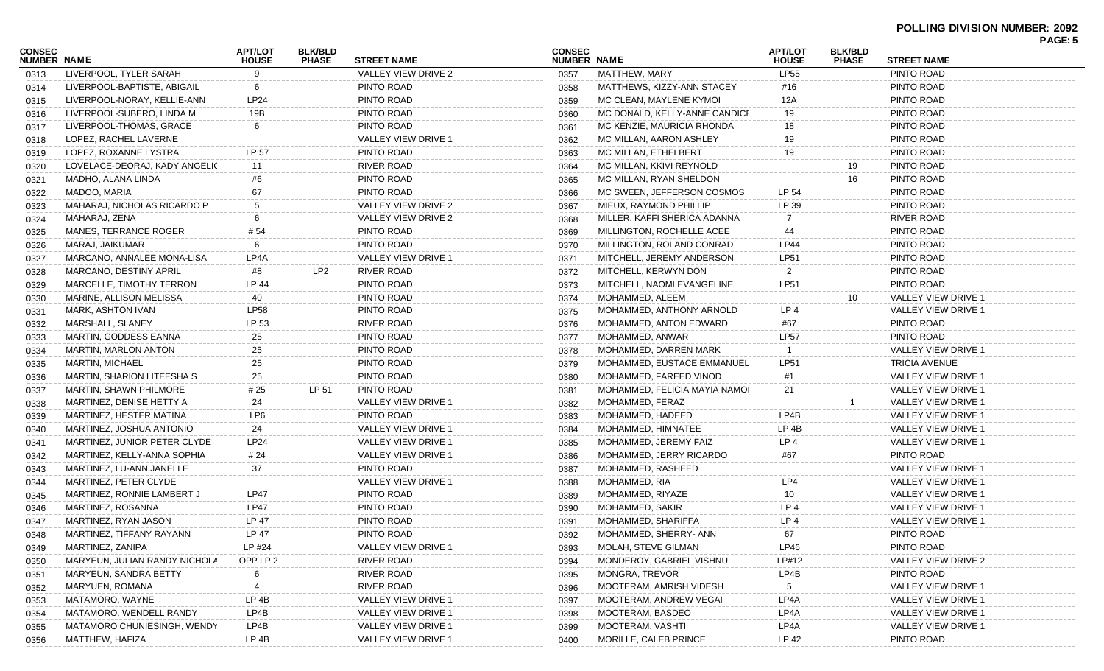| <b>CONSEC</b><br>NUMBER NAME |                               | <b>APT/LOT</b><br><b>HOUSE</b> | <b>BLK/BLD</b><br><b>PHASE</b> | <b>STREET NAME</b>         | <b>CONSEC</b><br>NUMBER NAME |                               | <b>APT/LOT</b><br><b>HOUSE</b> | <b>BLK/BLD</b><br><b>PHASE</b> | <b>STREET NAME</b>         |
|------------------------------|-------------------------------|--------------------------------|--------------------------------|----------------------------|------------------------------|-------------------------------|--------------------------------|--------------------------------|----------------------------|
| 0313                         | LIVERPOOL, TYLER SARAH        | 9                              |                                | VALLEY VIEW DRIVE 2        | 0357                         | MATTHEW, MARY                 | <b>LP55</b>                    |                                | PINTO ROAD                 |
| 0314                         | LIVERPOOL-BAPTISTE, ABIGAIL   | 6                              |                                | PINTO ROAD                 | 0358                         | MATTHEWS, KIZZY-ANN STACEY    | #16                            |                                | PINTO ROAD                 |
| 0315                         | LIVERPOOL-NORAY, KELLIE-ANN   | <b>LP24</b>                    |                                | PINTO ROAD                 | 0359                         | MC CLEAN, MAYLENE KYMOI       | 12A                            |                                | PINTO ROAD                 |
| 0316                         | LIVERPOOL-SUBERO, LINDA M     | 19B                            |                                | PINTO ROAD                 | 0360                         | MC DONALD, KELLY-ANNE CANDICE | 19                             |                                | PINTO ROAD                 |
| 0317                         | LIVERPOOL-THOMAS, GRACE       | -6                             |                                | PINTO ROAD                 | 0361                         | MC KENZIE, MAURICIA RHONDA    | 18                             |                                | PINTO ROAD                 |
| 0318                         | LOPEZ, RACHEL LAVERNE         |                                |                                | <b>VALLEY VIEW DRIVE 1</b> | 0362                         | MC MILLAN, AARON ASHLEY       | 19                             |                                | PINTO ROAD                 |
| 0319                         | LOPEZ, ROXANNE LYSTRA         | LP 57                          |                                | PINTO ROAD                 | 0363                         | MC MILLAN, ETHELBERT          | 19                             |                                | PINTO ROAD                 |
| 0320                         | LOVELACE-DEORAJ, KADY ANGELIC | 11                             |                                | <b>RIVER ROAD</b>          | 0364                         | MC MILLAN, KKIVI REYNOLD      |                                | 19                             | PINTO ROAD                 |
| 0321                         | MADHO, ALANA LINDA            | #6                             |                                | PINTO ROAD                 | 0365                         | MC MILLAN, RYAN SHELDON       |                                | 16                             | PINTO ROAD                 |
| 0322                         | MADOO, MARIA                  | 67                             |                                | PINTO ROAD                 | 0366                         | MC SWEEN, JEFFERSON COSMOS    | LP 54                          |                                | PINTO ROAD                 |
| 0323                         | MAHARAJ, NICHOLAS RICARDO P   |                                |                                | VALLEY VIEW DRIVE 2        | 0367                         | MIEUX, RAYMOND PHILLIP        | LP 39                          |                                | PINTO ROAD                 |
| 0324                         | MAHARAJ, ZENA                 |                                |                                | VALLEY VIEW DRIVE 2        | 0368                         | MILLER, KAFFI SHERICA ADANNA  |                                |                                | RIVER ROAD                 |
| 0325                         | MANES, TERRANCE ROGER         | # 54                           |                                | PINTO ROAD                 | 0369                         | MILLINGTON, ROCHELLE ACEE     | 44                             |                                | PINTO ROAD                 |
| 0326                         | MARAJ, JAIKUMAR               | -6                             |                                | PINTO ROAD                 | 0370                         | MILLINGTON, ROLAND CONRAD     | LP44                           |                                | PINTO ROAD                 |
| 0327                         | MARCANO, ANNALEE MONA-LISA    | LP4A                           |                                | VALLEY VIEW DRIVE 1        | 0371                         | MITCHELL, JEREMY ANDERSON     | <b>LP51</b>                    |                                | PINTO ROAD                 |
| 0328                         | MARCANO, DESTINY APRIL        | #8                             | LP2                            | RIVER ROAD                 | 0372                         | MITCHELL, KERWYN DON          | 2                              |                                | PINTO ROAD                 |
| 0329                         | MARCELLE, TIMOTHY TERRON      | LP 44                          |                                | PINTO ROAD                 | 0373                         | MITCHELL, NAOMI EVANGELINE    | <b>LP51</b>                    |                                | PINTO ROAD                 |
| 0330                         | MARINE, ALLISON MELISSA       | 40                             |                                | PINTO ROAD                 | 0374                         | MOHAMMED, ALEEM               |                                | 10                             | VALLEY VIEW DRIVE 1        |
| 0331                         | MARK, ASHTON IVAN             | <b>LP58</b>                    |                                | PINTO ROAD                 | 0375                         | MOHAMMED, ANTHONY ARNOLD      | LP <sub>4</sub>                |                                | <b>VALLEY VIEW DRIVE 1</b> |
| 0332                         | MARSHALL, SLANEY              | LP 53                          |                                | <b>RIVER ROAD</b>          | 0376                         | MOHAMMED, ANTON EDWARD        | #67                            |                                | PINTO ROAD                 |
| 0333                         | <b>MARTIN, GODDESS EANNA</b>  | 25                             |                                | PINTO ROAD                 | 0377                         | MOHAMMED, ANWAR               | <b>LP57</b>                    |                                | PINTO ROAD                 |
| 0334                         | MARTIN, MARLON ANTON          | 25                             |                                | PINTO ROAD                 | 0378                         | MOHAMMED, DARREN MARK         |                                |                                | VALLEY VIEW DRIVE 1        |
| 0335                         | <b>MARTIN, MICHAEL</b>        | 25                             |                                | PINTO ROAD                 | 0379                         | MOHAMMED, EUSTACE EMMANUEL    | <b>LP51</b>                    |                                | <b>TRICIA AVENUE</b>       |
| 0336                         | MARTIN, SHARION LITEESHA S    | 25                             |                                | PINTO ROAD                 | 0380                         | MOHAMMED, FAREED VINOD        | #1                             |                                | VALLEY VIEW DRIVE 1        |
| 0337                         | MARTIN, SHAWN PHILMORE        | # 25                           | LP 51                          | PINTO ROAD                 | 0381                         | MOHAMMED, FELICIA MAYIA NAMOI | 21                             |                                | VALLEY VIEW DRIVE 1        |
| 0338                         | MARTINEZ, DENISE HETTY A      | 24                             |                                | VALLEY VIEW DRIVE 1        | 0382                         | MOHAMMED, FERAZ               |                                |                                | VALLEY VIEW DRIVE 1        |
| 0339                         | MARTINEZ, HESTER MATINA       | LP6                            |                                | PINTO ROAD                 | 0383                         | MOHAMMED, HADEED              | LP4B                           |                                | VALLEY VIEW DRIVE 1        |
| 0340                         | MARTINEZ, JOSHUA ANTONIO      | 24                             |                                | VALLEY VIEW DRIVE 1        | 0384                         | MOHAMMED, HIMNATEE            | LP 4B                          |                                | VALLEY VIEW DRIVE 1        |
| 0341                         | MARTINEZ, JUNIOR PETER CLYDE  | LP24                           |                                | VALLEY VIEW DRIVE 1        | 0385                         | MOHAMMED, JEREMY FAIZ         | LP <sub>4</sub>                |                                | VALLEY VIEW DRIVE 1        |
| 0342                         | MARTINEZ, KELLY-ANNA SOPHIA   | # 24                           |                                | VALLEY VIEW DRIVE 1        | 0386                         | MOHAMMED, JERRY RICARDO       | #67                            |                                | PINTO ROAD                 |
| 0343                         | MARTINEZ, LU-ANN JANELLE      | 37                             |                                | PINTO ROAD                 | 0387                         | MOHAMMED, RASHEED             |                                |                                | VALLEY VIEW DRIVE 1        |
| 0344                         | MARTINEZ, PETER CLYDE         |                                |                                | VALLEY VIEW DRIVE 1        | 0388                         | MOHAMMED, RIA                 | LP4                            |                                | VALLEY VIEW DRIVE 1        |
| 0345                         | MARTINEZ, RONNIE LAMBERT J    | <b>LP47</b>                    |                                | PINTO ROAD                 | 0389                         | MOHAMMED, RIYAZE              | 10                             |                                | VALLEY VIEW DRIVE 1        |
| 0346                         | MARTINEZ, ROSANNA             | <b>LP47</b>                    |                                | PINTO ROAD                 | 0390                         | MOHAMMED, SAKIR               | LP <sub>4</sub>                |                                | VALLEY VIEW DRIVE 1        |
| 0347                         | MARTINEZ, RYAN JASON          | <b>LP 47</b>                   |                                | PINTO ROAD                 | 0391                         | MOHAMMED, SHARIFFA            | LP <sub>4</sub>                |                                | <b>VALLEY VIEW DRIVE 1</b> |
| 0348                         | MARTINEZ, TIFFANY RAYANN      | <b>LP 47</b>                   |                                | PINTO ROAD                 | 0392                         | MOHAMMED, SHERRY- ANN         | 67                             |                                | PINTO ROAD                 |
| 0349                         | MARTINEZ, ZANIPA              | LP #24                         |                                | VALLEY VIEW DRIVE 1        | 0393                         | MOLAH, STEVE GILMAN           | LP46                           |                                | PINTO ROAD                 |
| 0350                         | MARYEUN, JULIAN RANDY NICHOLA | OPP LP 2                       |                                | RIVER ROAD                 | 0394                         | MONDEROY, GABRIEL VISHNU      | LP#12                          |                                | VALLEY VIEW DRIVE 2        |
| 0351                         | MARYEUN, SANDRA BETTY         |                                |                                | RIVER ROAD                 | 0395                         | MONGRA, TREVOR                | LP4B                           |                                | PINTO ROAD                 |
| 0352                         | MARYUEN, ROMANA               |                                |                                | RIVER ROAD                 | 0396                         | MOOTERAM, AMRISH VIDESH       | 5                              |                                | VALLEY VIEW DRIVE          |
| 0353                         | MATAMORO, WAYNE               | LP 4B                          |                                | VALLEY VIEW DRIVE          | 0397                         | MOOTERAM, ANDREW VEGAI        | LP4A                           |                                | VALLEY VIEW DRIVE 1        |
| 0354                         | MATAMORO, WENDELL RANDY       | LP4B                           |                                | VALLEY VIEW DRIVE 1        | 0398                         | MOOTERAM, BASDEO              | LP4A                           |                                | VALLEY VIEW DRIVE 1        |
| 0355                         | MATAMORO CHUNIESINGH, WENDY   | LP4B                           |                                | VALLEY VIEW DRIVE 1        | 0399                         | MOOTERAM, VASHTI              | LP4A                           |                                | VALLEY VIEW DRIVE 1        |
| 0356                         | MATTHEW, HAFIZA               | LP 4B                          |                                | VALLEY VIEW DRIVE 1        | 0400                         | MORILLE, CALEB PRINCE         | LP 42                          |                                | PINTO ROAD                 |
|                              |                               |                                |                                |                            |                              |                               |                                |                                |                            |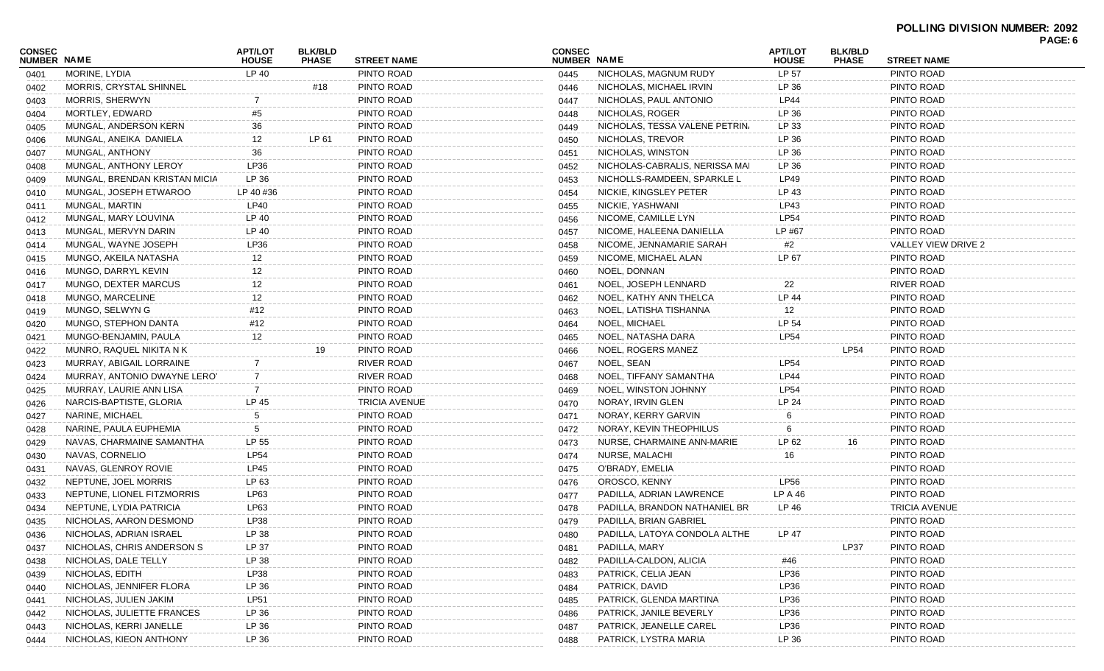| CONSEC<br><b>NUMBER NAME</b> |                               | <b>APT/LOT</b><br><b>HOUSE</b> | <b>BLK/BLD</b><br><b>PHASE</b> | <b>STREET NAME</b>   | <b>CONSEC</b><br>NUMBER NAME |                                | APT/LOT<br><b>HOUSE</b> | <b>BLK/BLD</b><br><b>PHASE</b> | <b>STREET NAME</b>   | PAGE: 6 |
|------------------------------|-------------------------------|--------------------------------|--------------------------------|----------------------|------------------------------|--------------------------------|-------------------------|--------------------------------|----------------------|---------|
| 0401                         | MORINE, LYDIA                 | LP 40                          |                                | PINTO ROAD           | 0445                         | NICHOLAS, MAGNUM RUDY          | LP 57                   |                                | PINTO ROAD           |         |
| 0402                         | MORRIS, CRYSTAL SHINNEL       |                                | #18                            | PINTO ROAD           | 0446                         | NICHOLAS, MICHAEL IRVIN        | LP 36                   |                                | PINTO ROAD           |         |
| 0403                         | MORRIS, SHERWYN               |                                |                                | PINTO ROAD           | 0447                         | NICHOLAS, PAUL ANTONIO         | <b>LP44</b>             |                                | PINTO ROAD           |         |
| 0404                         | MORTLEY, EDWARD               | #5                             |                                | PINTO ROAD           | 0448                         | NICHOLAS, ROGER                | LP 36                   |                                | PINTO ROAD           |         |
| 0405                         | MUNGAL, ANDERSON KERN         | 36                             |                                | PINTO ROAD           | 0449                         | NICHOLAS, TESSA VALENE PETRIN  | LP 33                   |                                | PINTO ROAD           |         |
| 0406                         | MUNGAL, ANEIKA DANIELA        | 12                             | LP 61                          | PINTO ROAD           | 0450                         | NICHOLAS, TREVOR               | LP 36                   |                                | PINTO ROAD           |         |
| 0407                         | MUNGAL, ANTHONY               | 36                             |                                | PINTO ROAD           | 0451                         | NICHOLAS, WINSTON              | LP 36                   |                                | PINTO ROAD           |         |
| 0408                         | MUNGAL, ANTHONY LEROY         | LP36                           |                                | PINTO ROAD           | 0452                         | NICHOLAS-CABRALIS, NERISSA MAI | LP 36                   |                                | PINTO ROAD           |         |
| 0409                         | MUNGAL, BRENDAN KRISTAN MICIA | LP 36                          |                                | PINTO ROAD           | 0453                         | NICHOLLS-RAMDEEN, SPARKLE L    | <b>LP49</b>             |                                | PINTO ROAD           |         |
| 0410                         | MUNGAL, JOSEPH ETWAROO        | LP 40 #36                      |                                | PINTO ROAD           | 0454                         | NICKIE, KINGSLEY PETER         | LP 43                   |                                | PINTO ROAD           |         |
| 0411                         | MUNGAL, MARTIN                | LP40                           |                                | PINTO ROAD           | 0455                         | NICKIE, YASHWANI               | LP43                    |                                | PINTO ROAD           |         |
| 0412                         | MUNGAL, MARY LOUVINA          | LP 40                          |                                | PINTO ROAD           | 0456                         | NICOME, CAMILLE LYN            | <b>LP54</b>             |                                | PINTO ROAD           |         |
| 0413                         | MUNGAL, MERVYN DARIN          | LP 40                          |                                | PINTO ROAD           | 0457                         | NICOME, HALEENA DANIELLA       | LP #67                  |                                | PINTO ROAD           |         |
| 0414                         | MUNGAL, WAYNE JOSEPH          | LP36                           |                                | PINTO ROAD           | 0458                         | NICOME, JENNAMARIE SARAH       | #2                      |                                | VALLEY VIEW DRIVE 2  |         |
| 0415                         | MUNGO, AKEILA NATASHA         | 12                             |                                | PINTO ROAD           | 0459                         | NICOME, MICHAEL ALAN           | LP 67                   |                                | PINTO ROAD           |         |
| 0416                         | MUNGO, DARRYL KEVIN           | 12                             |                                | PINTO ROAD           | 0460                         | NOEL, DONNAN                   |                         |                                | PINTO ROAD           |         |
| 0417                         | MUNGO, DEXTER MARCUS          | 12                             |                                | PINTO ROAD           | 0461                         | NOEL, JOSEPH LENNARD           | 22                      |                                | <b>RIVER ROAD</b>    |         |
| 0418                         | MUNGO, MARCELINE              | 12                             |                                | PINTO ROAD           | 0462                         | NOEL, KATHY ANN THELCA         | LP 44                   |                                | PINTO ROAD           |         |
| 0419                         | MUNGO, SELWYN G               | #12                            |                                | PINTO ROAD           | 0463                         | NOEL, LATISHA TISHANNA         | 12                      |                                | PINTO ROAD           |         |
| 0420                         | MUNGO, STEPHON DANTA          | #12                            |                                | PINTO ROAD           | 0464                         | NOEL, MICHAEL                  | LP 54                   |                                | PINTO ROAD           |         |
| 0421                         | MUNGO-BENJAMIN, PAULA         | 12                             |                                | PINTO ROAD           | 0465                         | NOEL, NATASHA DARA             | <b>LP54</b>             |                                | PINTO ROAD           |         |
| 0422                         | MUNRO, RAQUEL NIKITA N K      |                                | 19                             | PINTO ROAD           | 0466                         | NOEL, ROGERS MANEZ             |                         | LP54                           | PINTO ROAD           |         |
| 0423                         | MURRAY, ABIGAIL LORRAINE      |                                |                                | <b>RIVER ROAD</b>    | 0467                         | NOEL, SEAN                     | <b>LP54</b>             |                                | PINTO ROAD           |         |
| 0424                         | MURRAY, ANTONIO DWAYNE LERO'  | 7                              |                                | RIVER ROAD           | 0468                         | NOEL, TIFFANY SAMANTHA         | <b>LP44</b>             |                                | PINTO ROAD           |         |
| 0425                         | MURRAY, LAURIE ANN LISA       |                                |                                | PINTO ROAD           | 0469                         | NOEL, WINSTON JOHNNY           | <b>LP54</b>             |                                | PINTO ROAD           |         |
| 0426                         | NARCIS-BAPTISTE, GLORIA       | LP 45                          |                                | <b>TRICIA AVENUE</b> | 0470                         | NORAY, IRVIN GLEN              | LP 24                   |                                | PINTO ROAD           |         |
| 0427                         | NARINE, MICHAEL               | 5                              |                                | PINTO ROAD           | 0471                         | NORAY, KERRY GARVIN            | 6                       |                                | PINTO ROAD           |         |
| 0428                         | NARINE, PAULA EUPHEMIA        | 5                              |                                | PINTO ROAD           | 0472                         | NORAY, KEVIN THEOPHILUS        | 6                       |                                | PINTO ROAD           |         |
| 0429                         | NAVAS, CHARMAINE SAMANTHA     | LP 55                          |                                | PINTO ROAD           | 0473                         | NURSE, CHARMAINE ANN-MARIE     | LP 62                   | 16                             | PINTO ROAD           |         |
| 0430                         | NAVAS, CORNELIO               | <b>LP54</b>                    |                                | PINTO ROAD           | 0474                         | NURSE, MALACHI                 | 16                      |                                | PINTO ROAD           |         |
| 0431                         | NAVAS, GLENROY ROVIE          | LP45                           |                                | PINTO ROAD           | 0475                         | O'BRADY, EMELIA                |                         |                                | PINTO ROAD           |         |
| 0432                         | NEPTUNE, JOEL MORRIS          | LP 63                          |                                | PINTO ROAD           | 0476                         | OROSCO, KENNY                  | <b>LP56</b>             |                                | PINTO ROAD           |         |
| 0433                         | NEPTUNE, LIONEL FITZMORRIS    | LP63                           |                                | PINTO ROAD           | 0477                         | PADILLA, ADRIAN LAWRENCE       | LP A 46                 |                                | PINTO ROAD           |         |
| 0434                         | NEPTUNE, LYDIA PATRICIA       | LP63                           |                                | PINTO ROAD           | 0478                         | PADILLA, BRANDON NATHANIEL BR  | LP 46                   |                                | <b>TRICIA AVENUE</b> |         |
| 0435                         | NICHOLAS, AARON DESMOND       | LP38                           |                                | PINTO ROAD           | 0479                         | PADILLA, BRIAN GABRIEL         |                         |                                | PINTO ROAD           |         |
| 0436                         | NICHOLAS, ADRIAN ISRAEL       | LP 38                          |                                | PINTO ROAD           | 0480                         | PADILLA, LATOYA CONDOLA ALTHE  | LP 47                   |                                | PINTO ROAD           |         |
| 0437                         | NICHOLAS, CHRIS ANDERSON S    | LP 37                          |                                | PINTO ROAD           | 0481                         | PADILLA, MARY                  |                         | LP37                           | PINTO ROAD           |         |
| 0438                         | NICHOLAS, DALE TELLY          | LP 38                          |                                | PINTO ROAD           | 0482                         | PADILLA-CALDON, ALICIA         | #46                     |                                | PINTO ROAD           |         |
| 0439                         | NICHOLAS, EDITH               | LP38                           |                                | PINTO ROAD           | 0483                         | PATRICK, CELIA JEAN            | LP36                    |                                | PINTO ROAD           |         |
| 0440                         | NICHOLAS, JENNIFER FLORA      | LP 36                          |                                | PINTO ROAD           | 0484                         | PATRICK, DAVID                 | LP36                    |                                | PINTO ROAD           |         |
| 0441                         | NICHOLAS, JULIEN JAKIM        | <b>LP51</b>                    |                                | PINTO ROAD           | 0485                         | PATRICK, GLENDA MARTINA        | LP36                    |                                | PINTO ROAD           |         |
| 0442                         | NICHOLAS, JULIETTE FRANCES    | LP 36                          |                                | PINTO ROAD           | 0486                         | PATRICK, JANILE BEVERLY        | LP36                    |                                | PINTO ROAD           |         |
| 0443                         | NICHOLAS, KERRI JANELLE       | LP 36                          |                                | PINTO ROAD           | 0487                         | PATRICK, JEANELLE CAREL        | LP36                    |                                | PINTO ROAD           |         |
| 0444                         | NICHOLAS, KIEON ANTHONY       | LP 36                          |                                | PINTO ROAD           | 0488                         | PATRICK, LYSTRA MARIA          | LP 36                   |                                | PINTO ROAD           |         |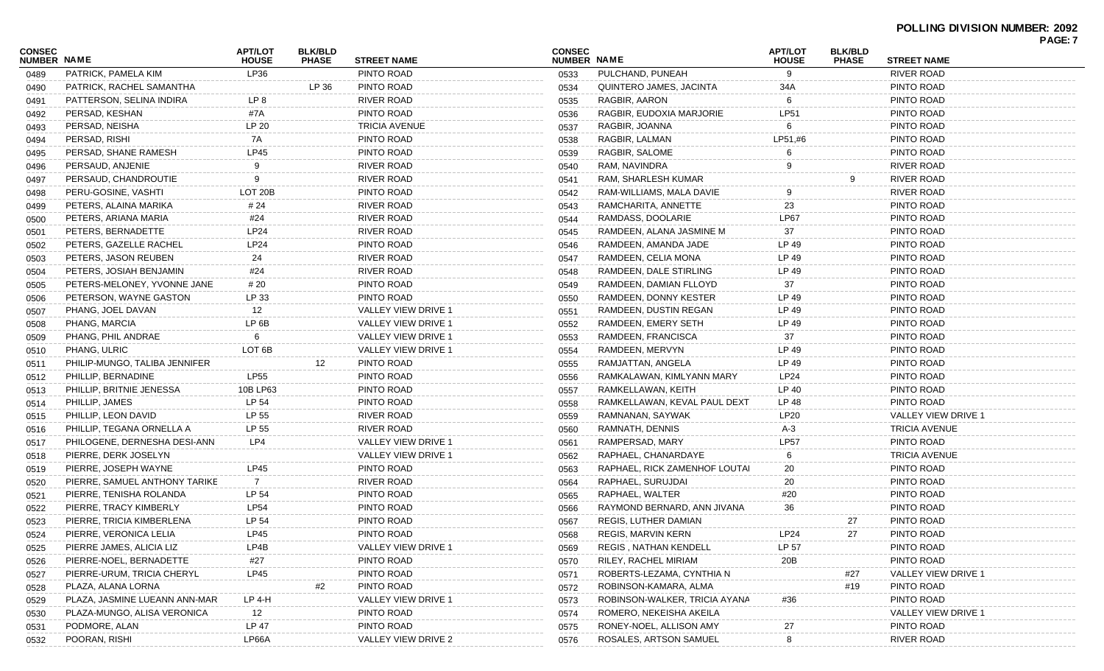| CONSEC<br><b>NUMBER NAME</b> |                               | <b>APT/LOT</b><br><b>HOUSE</b> | <b>BLK/BLD</b><br><b>PHASE</b> | <b>STREET NAME</b>   | <b>CONSEC</b><br>NUMBER NAME |                               | <b>APT/LOT</b><br><b>HOUSE</b> | <b>BLK/BLD</b><br><b>PHASE</b> | <b>STREET NAME</b>   | PAGE: 7 |
|------------------------------|-------------------------------|--------------------------------|--------------------------------|----------------------|------------------------------|-------------------------------|--------------------------------|--------------------------------|----------------------|---------|
| 0489                         | PATRICK, PAMELA KIM           | LP36                           |                                | PINTO ROAD           | 0533                         | PULCHAND, PUNEAH              | 9                              |                                | <b>RIVER ROAD</b>    |         |
| 0490                         | PATRICK, RACHEL SAMANTHA      |                                | LP 36                          | PINTO ROAD           | 0534                         | QUINTERO JAMES, JACINTA       | 34A                            |                                | PINTO ROAD           |         |
| 0491                         | PATTERSON, SELINA INDIRA      | LP 8                           |                                | <b>RIVER ROAD</b>    | 0535                         | RAGBIR, AARON                 | 6                              |                                | PINTO ROAD           |         |
| 0492                         | PERSAD, KESHAN                | #7A                            |                                | PINTO ROAD           | 0536                         | RAGBIR, EUDOXIA MARJORIE      | <b>LP51</b>                    |                                | PINTO ROAD           |         |
| 0493                         | PERSAD, NEISHA                | LP 20                          |                                | <b>TRICIA AVENUE</b> | 0537                         | RAGBIR, JOANNA                | 6                              |                                | PINTO ROAD           |         |
| 0494                         | PERSAD, RISHI                 | 7A                             |                                | PINTO ROAD           | 0538                         | RAGBIR, LALMAN                | LP51,#6                        |                                | PINTO ROAD           |         |
| 0495                         | PERSAD, SHANE RAMESH          | <b>LP45</b>                    |                                | PINTO ROAD           | 0539                         | RAGBIR, SALOME                |                                |                                | PINTO ROAD           |         |
| 0496                         | PERSAUD, ANJENIE              | 9                              |                                | <b>RIVER ROAD</b>    | 0540                         | RAM, NAVINDRA                 |                                |                                | <b>RIVER ROAD</b>    |         |
| 0497                         | PERSAUD, CHANDROUTIE          |                                |                                | <b>RIVER ROAD</b>    | 0541                         | RAM, SHARLESH KUMAR           |                                |                                | RIVER ROAD           |         |
| 0498                         | PERU-GOSINE, VASHTI           | LOT 20B                        |                                | PINTO ROAD           | 0542                         | RAM-WILLIAMS, MALA DAVIE      |                                |                                | RIVER ROAD           |         |
| 0499                         | PETERS, ALAINA MARIKA         | # 24                           |                                | <b>RIVER ROAD</b>    | 0543                         | RAMCHARITA, ANNETTE           | 23                             |                                | PINTO ROAD           |         |
| 0500                         | PETERS, ARIANA MARIA          | #24                            |                                | <b>RIVER ROAD</b>    | 0544                         | RAMDASS, DOOLARIE             | LP67                           |                                | PINTO ROAD           |         |
| 0501                         | PETERS, BERNADETTE            | <b>LP24</b>                    |                                | <b>RIVER ROAD</b>    | 0545                         | RAMDEEN, ALANA JASMINE M      | 37                             |                                | PINTO ROAD           |         |
| 0502                         | PETERS, GAZELLE RACHEL        | <b>LP24</b>                    |                                | PINTO ROAD           | 0546                         | RAMDEEN, AMANDA JADE          | LP 49                          |                                | PINTO ROAD           |         |
| 0503                         | PETERS, JASON REUBEN          | 24                             |                                | <b>RIVER ROAD</b>    | 0547                         | RAMDEEN, CELIA MONA           | LP 49                          |                                | PINTO ROAD           |         |
| 0504                         | PETERS, JOSIAH BENJAMIN       | #24                            |                                | <b>RIVER ROAD</b>    | 0548                         | RAMDEEN, DALE STIRLING        | LP 49                          |                                | PINTO ROAD           |         |
| 0505                         | PETERS-MELONEY, YVONNE JANE   | # 20                           |                                | PINTO ROAD           | 0549                         | RAMDEEN, DAMIAN FLLOYD        | 37                             |                                | PINTO ROAD           |         |
| 0506                         | PETERSON, WAYNE GASTON        | LP 33                          |                                | PINTO ROAD           | 0550                         | RAMDEEN, DONNY KESTER         | LP 49                          |                                | PINTO ROAD           |         |
| 0507                         | PHANG, JOEL DAVAN             | 12                             |                                | VALLEY VIEW DRIVE 1  | 0551                         | RAMDEEN, DUSTIN REGAN         | LP 49                          |                                | PINTO ROAD           |         |
| 0508                         | PHANG, MARCIA                 | LP <sub>6B</sub>               |                                | VALLEY VIEW DRIVE 1  | 0552                         | RAMDEEN, EMERY SETH           | LP 49                          |                                | PINTO ROAD           |         |
| 0509                         | PHANG, PHIL ANDRAE            | 6                              |                                | VALLEY VIEW DRIVE 1  | 0553                         | RAMDEEN, FRANCISCA            | 37                             |                                | PINTO ROAD           |         |
| 0510                         | PHANG, ULRIC                  | LOT <sub>6</sub> B             |                                | VALLEY VIEW DRIVE 1  | 0554                         | RAMDEEN, MERVYN               | LP 49                          |                                | PINTO ROAD           |         |
| 0511                         | PHILIP-MUNGO, TALIBA JENNIFER |                                | 12                             | PINTO ROAD           | 0555                         | RAMJATTAN, ANGELA             | LP 49                          |                                | PINTO ROAD           |         |
| 0512                         | PHILLIP, BERNADINE            | <b>LP55</b>                    |                                | PINTO ROAD           | 0556                         | RAMKALAWAN, KIMLYANN MARY     | LP24                           |                                | PINTO ROAD           |         |
| 0513                         | PHILLIP, BRITNIE JENESSA      | 10B LP63                       |                                | PINTO ROAD           | 0557                         | RAMKELLAWAN, KEITH            | LP 40                          |                                | PINTO ROAD           |         |
| 0514                         | PHILLIP, JAMES                | LP 54                          |                                | PINTO ROAD           | 0558                         | RAMKELLAWAN, KEVAL PAUL DEXT  | LP 48                          |                                | PINTO ROAD           |         |
| 0515                         | PHILLIP, LEON DAVID           | LP 55                          |                                | <b>RIVER ROAD</b>    | 0559                         | RAMNANAN, SAYWAK              | <b>LP20</b>                    |                                | VALLEY VIEW DRIVE 1  |         |
| 0516                         | PHILLIP, TEGANA ORNELLA A     | LP 55                          |                                | <b>RIVER ROAD</b>    | 0560                         | RAMNATH, DENNIS               | A-3                            |                                | <b>TRICIA AVENUE</b> |         |
| 0517                         | PHILOGENE, DERNESHA DESI-ANN  | LP4                            |                                | VALLEY VIEW DRIVE 1  | 0561                         | RAMPERSAD, MARY               | <b>LP57</b>                    |                                | PINTO ROAD           |         |
| 0518                         | PIERRE, DERK JOSELYN          |                                |                                | VALLEY VIEW DRIVE 1  | 0562                         | RAPHAEL, CHANARDAYE           | 6                              |                                | <b>TRICIA AVENUE</b> |         |
| 0519                         | PIERRE, JOSEPH WAYNE          | <b>LP45</b>                    |                                | PINTO ROAD           | 0563                         | RAPHAEL, RICK ZAMENHOF LOUTAI | 20                             |                                | PINTO ROAD           |         |
| 0520                         | PIERRE, SAMUEL ANTHONY TARIKE | 7                              |                                | <b>RIVER ROAD</b>    | 0564                         | RAPHAEL, SURUJDAI             | 20                             |                                | PINTO ROAD           |         |
| 0521                         | PIERRE, TENISHA ROLANDA       | LP 54                          |                                | PINTO ROAD           | 0565                         | RAPHAEL, WALTER               | #20                            |                                | PINTO ROAD           |         |
| 0522                         | PIERRE, TRACY KIMBERLY        | LP54                           |                                | PINTO ROAD           | 0566                         | RAYMOND BERNARD, ANN JIVANA   | 36                             |                                | PINTO ROAD           |         |
| 0523                         | PIERRE, TRICIA KIMBERLENA     | LP 54                          |                                | PINTO ROAD           | 0567                         | REGIS, LUTHER DAMIAN          |                                | 27                             | PINTO ROAD           |         |
| 0524                         | PIERRE, VERONICA LELIA        | <b>LP45</b>                    |                                | PINTO ROAD           | 0568                         | REGIS, MARVIN KERN            | LP24                           | 27                             | PINTO ROAD           |         |
| 0525                         | PIERRE JAMES, ALICIA LIZ      | LP4B                           |                                | VALLEY VIEW DRIVE 1  | 0569                         | REGIS, NATHAN KENDELL         | LP 57                          |                                | PINTO ROAD           |         |
| 0526                         | PIERRE-NOEL, BERNADETTE       | #27                            |                                | PINTO ROAD           | 0570                         | RILEY, RACHEL MIRIAM          | 20B                            |                                | PINTO ROAD           |         |
| 0527                         | PIERRE-URUM, TRICIA CHERYL    | <b>LP45</b>                    |                                | PINTO ROAD           | 0571                         | ROBERTS-LEZAMA, CYNTHIA N     |                                | #27                            | VALLEY VIEW DRIVE    |         |
| 0528                         | PLAZA, ALANA LORNA            |                                | #2                             | PINTO ROAD           | 0572                         | ROBINSON-KAMARA, ALMA         |                                | #19                            | PINTO ROAD           |         |
| 0529                         | PLAZA, JASMINE LUEANN ANN-MAR | LP 4-H                         |                                | VALLEY VIEW DRIVE 1  | 0573                         | ROBINSON-WALKER, TRICIA AYANA | #36                            |                                | PINTO ROAD           |         |
| 0530                         | PLAZA-MUNGO, ALISA VERONICA   | 12                             |                                | PINTO ROAD           | 0574                         | ROMERO, NEKEISHA AKEILA       |                                |                                | VALLEY VIEW DRIVE    |         |
| 0531                         | PODMORE, ALAN                 | LP 47                          |                                | PINTO ROAD           | 0575                         | RONEY-NOEL, ALLISON AMY       | 27                             |                                | PINTO ROAD           |         |
| 0532                         | POORAN, RISHI                 | LP66A                          |                                | VALLEY VIEW DRIVE 2  | 0576                         | ROSALES, ARTSON SAMUEL        | 8                              |                                | RIVER ROAD           |         |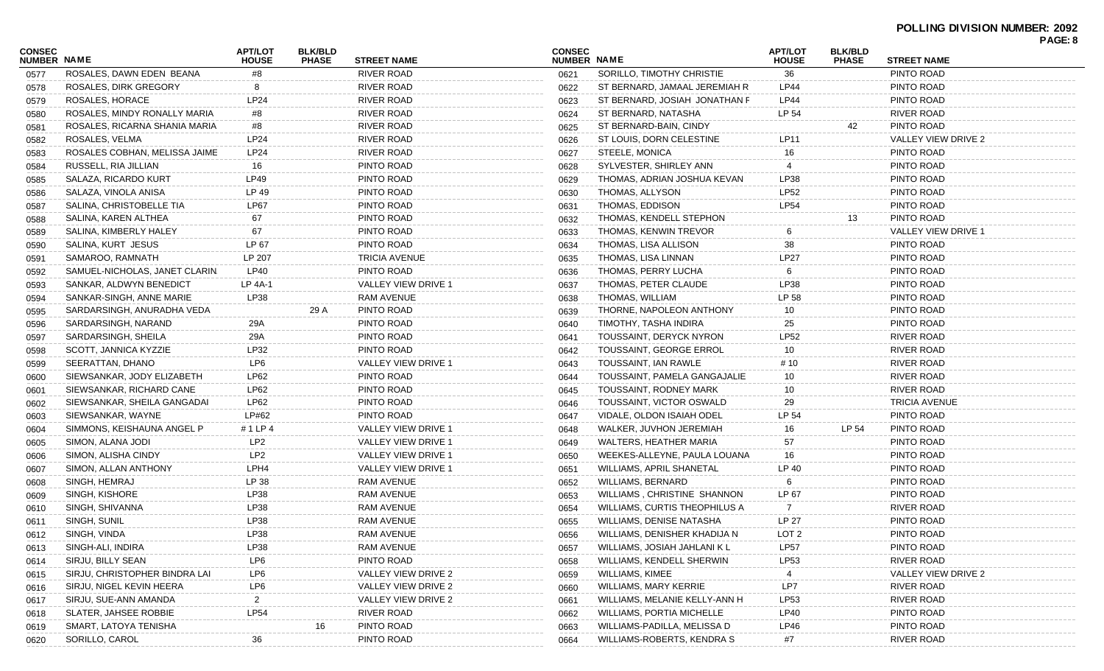## **POLLING DIVISION NUMBER: 2092**

| <b>RIVER ROAD</b><br>SORILLO, TIMOTHY CHRISTIE<br>36<br>ROSALES, DAWN EDEN BEANA<br>#8<br>PINTO ROAD<br>0621<br>0577<br>RIVER ROAD<br>ST BERNARD, JAMAAL JEREMIAH R<br><b>LP44</b><br>PINTO ROAD<br>ROSALES, DIRK GREGORY<br>8<br>0622<br>0578<br><b>RIVER ROAD</b><br>PINTO ROAD<br>ROSALES, HORACE<br><b>LP24</b><br>ST BERNARD, JOSIAH JONATHAN F<br><b>LP44</b><br>0623<br>0579<br><b>RIVER ROAD</b><br>LP 54<br><b>RIVER ROAD</b><br>ROSALES, MINDY RONALLY MARIA<br>ST BERNARD, NATASHA<br>#8<br>0624<br>0580<br>PINTO ROAD<br>ROSALES, RICARNA SHANIA MARIA<br><b>RIVER ROAD</b><br>42<br>#8<br>ST BERNARD-BAIN, CINDY<br>0625<br>0581<br>LP24<br>RIVER ROAD<br>ST LOUIS, DORN CELESTINE<br>LP11<br>VALLEY VIEW DRIVE 2<br>ROSALES, VELMA<br>0626<br>0582<br>ROSALES COBHAN, MELISSA JAIME<br>LP24<br>RIVER ROAD<br>STEELE, MONICA<br>PINTO ROAD<br>16<br>0627<br>0583<br>PINTO ROAD<br>PINTO ROAD<br>SYLVESTER, SHIRLEY ANN<br>RUSSELL, RIA JILLIAN<br>16<br>0628<br>0584<br>PINTO ROAD<br>LP49<br>PINTO ROAD<br>THOMAS, ADRIAN JOSHUA KEVAN<br>LP38<br>SALAZA, RICARDO KURT<br>0629<br>0585<br>LP 49<br><b>LP52</b><br>PINTO ROAD<br>PINTO ROAD<br>THOMAS, ALLYSON<br>SALAZA, VINOLA ANISA<br>0630<br>0586<br><b>LP54</b><br>PINTO ROAD<br><b>LP67</b><br>PINTO ROAD<br>SALINA, CHRISTOBELLE TIA<br>THOMAS, EDDISON<br>0631<br>0587<br>PINTO ROAD<br>THOMAS, KENDELL STEPHON<br>PINTO ROAD<br>SALINA, KAREN ALTHEA<br>67<br>13<br>0632<br>0588<br>PINTO ROAD<br>SALINA, KIMBERLY HALEY<br>THOMAS, KENWIN TREVOR<br>VALLEY VIEW DRIVE 1<br>67<br>0633<br>0589<br>PINTO ROAD<br>PINTO ROAD<br>LP 67<br>38<br>SALINA, KURT JESUS<br>THOMAS, LISA ALLISON<br>0634<br>0590<br>LP 207<br><b>LP27</b><br>PINTO ROAD<br><b>TRICIA AVENUE</b><br>SAMAROO, RAMNATH<br>THOMAS, LISA LINNAN<br>0635<br>0591<br><b>LP40</b><br>PINTO ROAD<br>PINTO ROAD<br>SAMUEL-NICHOLAS, JANET CLARIN.<br>THOMAS, PERRY LUCHA<br>0636<br>0592<br>VALLEY VIEW DRIVE 1<br>LP38<br>PINTO ROAD<br>SANKAR, ALDWYN BENEDICT<br>LP 4A-1<br>THOMAS, PETER CLAUDE<br>0637<br>0593<br>LP38<br>LP 58<br>PINTO ROAD<br>RAM AVENUE<br>THOMAS, WILLIAM<br>SANKAR-SINGH, ANNE MARIE<br>0638<br>0594<br>PINTO ROAD<br>29 A<br>PINTO ROAD<br>THORNE, NAPOLEON ANTHONY<br>SARDARSINGH, ANURADHA VEDA<br>0639<br>10<br>0595<br>PINTO ROAD<br>PINTO ROAD<br>TIMOTHY, TASHA INDIRA<br>SARDARSINGH, NARAND<br>29A<br>25<br>0640<br>0596<br><b>LP52</b><br>PINTO ROAD<br><b>RIVER ROAD</b><br>SARDARSINGH, SHEILA<br>29A<br>TOUSSAINT, DERYCK NYRON<br>0641<br>0597<br>LP32<br>PINTO ROAD<br>TOUSSAINT, GEORGE ERROL<br><b>RIVER ROAD</b><br>SCOTT, JANNICA KYZZIE<br>10<br>0642<br>0598<br><b>RIVER ROAD</b><br>LP6<br>VALLEY VIEW DRIVE 1<br>TOUSSAINT, IAN RAWLE<br>SEERATTAN, DHANO<br># 10<br>0643<br>0599<br><b>RIVER ROAD</b><br>SIEWSANKAR, JODY ELIZABETH<br><b>LP62</b><br>PINTO ROAD<br>TOUSSAINT, PAMELA GANGAJALIE<br>10<br>0644<br>0600<br><b>RIVER ROAD</b><br>LP62<br>PINTO ROAD<br>TOUSSAINT, RODNEY MARK<br>SIEWSANKAR, RICHARD CANE<br>10<br>0645<br>0601<br>LP62<br>PINTO ROAD<br>29<br><b>TRICIA AVENUE</b><br>SIEWSANKAR, SHEILA GANGADAI<br>TOUSSAINT, VICTOR OSWALD<br>0646<br>0602<br>PINTO ROAD<br>LP#62<br>PINTO ROAD<br>LP 54<br>SIEWSANKAR, WAYNE<br>VIDALE, OLDON ISAIAH ODEL<br>0647<br>0603<br>LP 54<br>SIMMONS, KEISHAUNA ANGEL P<br>#1 LP 4<br>VALLEY VIEW DRIVE 1<br>WALKER, JUVHON JEREMIAH<br>16<br>PINTO ROAD<br>0648<br>0604<br>PINTO ROAD<br>LP <sub>2</sub><br>WALTERS, HEATHER MARIA<br>57<br>SIMON, ALANA JODI<br>VALLEY VIEW DRIVE 1<br>0649<br>0605<br>PINTO ROAD<br>LP <sub>2</sub><br>WEEKES-ALLEYNE, PAULA LOUANA<br>SIMON, ALISHA CINDY<br>VALLEY VIEW DRIVE 1<br>16<br>0650<br>0606<br>LPH4<br>WILLIAMS, APRIL SHANETAL<br>LP 40<br>PINTO ROAD<br>SIMON, ALLAN ANTHONY<br>VALLEY VIEW DRIVE 1<br>0651<br>0607<br>LP 38<br>RAM AVENUE<br><b>WILLIAMS, BERNARD</b><br>PINTO ROAD<br>SINGH, HEMRAJ<br>0652<br>0608<br>რ.<br>PINTO ROAD<br><b>LP38</b><br>RAM AVENUE<br>WILLIAMS, CHRISTINE SHANNON<br>LP 67<br>SINGH, KISHORE<br>0653<br>0609<br>LP38<br><b>RAM AVENUE</b><br><b>WILLIAMS, CURTIS THEOPHILUS A</b><br><b>RIVER ROAD</b><br>SINGH, SHIVANNA<br>0654<br>0610<br>LP38<br><b>LP 27</b><br>SINGH, SUNIL<br>RAM AVENUE<br><b>WILLIAMS, DENISE NATASHA</b><br>PINTO ROAD<br>0655<br>0611<br>LP38<br>SINGH, VINDA<br>RAM AVENUE<br>WILLIAMS, DENISHER KHADIJA N<br>LOT <sub>2</sub><br>PINTO ROAD<br>0656<br>0612<br>SINGH-ALI, INDIRA<br><b>LP38</b><br><b>RAM AVENUE</b><br>WILLIAMS, JOSIAH JAHLANI K L<br><b>LP57</b><br>PINTO ROAD<br>0657<br>0613<br>LP6<br>PINTO ROAD<br>WILLIAMS, KENDELL SHERWIN<br>LP53<br><b>RIVER ROAD</b><br>SIRJU, BILLY SEAN<br>0658<br>0614<br>SIRJU, CHRISTOPHER BINDRA LAI<br>LP6<br>VALLEY VIEW DRIVE 2<br>WILLIAMS, KIMEE<br>VALLEY VIEW DRIVE 2<br>0659<br>0615<br>LP7<br>LP6<br><b>WILLIAMS, MARY KERRIE</b><br><b>RIVER ROAD</b><br>SIRJU, NIGEL KEVIN HEERA<br>VALLEY VIEW DRIVE 2<br>0660<br>0616<br>$\overline{2}$<br>WILLIAMS, MELANIE KELLY-ANN H<br>LP53<br><b>RIVER ROAD</b><br>SIRJU, SUE-ANN AMANDA<br>VALLEY VIEW DRIVE 2<br>0661<br>0617<br>LP54<br><b>RIVER ROAD</b><br><b>WILLIAMS, PORTIA MICHELLE</b><br><b>LP40</b><br>PINTO ROAD<br>SLATER, JAHSEE ROBBIE<br>0662<br>0618<br>SMART, LATOYA TENISHA<br>PINTO ROAD<br>WILLIAMS-PADILLA, MELISSA D<br>PINTO ROAD<br>LP46<br>16<br>0663<br>0619<br>SORILLO, CAROL<br>36<br>PINTO ROAD<br>WILLIAMS-ROBERTS, KENDRA S<br><b>RIVER ROAD</b><br>#7<br>0620<br>0664 | CONSEC<br><b>NUMBER NAME</b> | <b>APT/LOT</b><br><b>HOUSE</b> | <b>BLK/BLD</b><br><b>PHASE</b> | <b>STREET NAME</b> | <b>CONSEC</b><br><b>NUMBER NAME</b> | <b>APT/LOT</b><br><b>HOUSE</b> | <b>BLK/BLD</b><br><b>PHASE</b> | <b>STREET NAME</b> | PAGE: 8 |
|-----------------------------------------------------------------------------------------------------------------------------------------------------------------------------------------------------------------------------------------------------------------------------------------------------------------------------------------------------------------------------------------------------------------------------------------------------------------------------------------------------------------------------------------------------------------------------------------------------------------------------------------------------------------------------------------------------------------------------------------------------------------------------------------------------------------------------------------------------------------------------------------------------------------------------------------------------------------------------------------------------------------------------------------------------------------------------------------------------------------------------------------------------------------------------------------------------------------------------------------------------------------------------------------------------------------------------------------------------------------------------------------------------------------------------------------------------------------------------------------------------------------------------------------------------------------------------------------------------------------------------------------------------------------------------------------------------------------------------------------------------------------------------------------------------------------------------------------------------------------------------------------------------------------------------------------------------------------------------------------------------------------------------------------------------------------------------------------------------------------------------------------------------------------------------------------------------------------------------------------------------------------------------------------------------------------------------------------------------------------------------------------------------------------------------------------------------------------------------------------------------------------------------------------------------------------------------------------------------------------------------------------------------------------------------------------------------------------------------------------------------------------------------------------------------------------------------------------------------------------------------------------------------------------------------------------------------------------------------------------------------------------------------------------------------------------------------------------------------------------------------------------------------------------------------------------------------------------------------------------------------------------------------------------------------------------------------------------------------------------------------------------------------------------------------------------------------------------------------------------------------------------------------------------------------------------------------------------------------------------------------------------------------------------------------------------------------------------------------------------------------------------------------------------------------------------------------------------------------------------------------------------------------------------------------------------------------------------------------------------------------------------------------------------------------------------------------------------------------------------------------------------------------------------------------------------------------------------------------------------------------------------------------------------------------------------------------------------------------------------------------------------------------------------------------------------------------------------------------------------------------------------------------------------------------------------------------------------------------------------------------------------------------------------------------------------------------------------------------------------------------------------------------------------------------------------------------------------------------------------------------------------------------------------------------------------------------------------------------------------------------------------------------------------------------------------------------------------------------------------------------------------------------------------------------------------------------------------------------------------------------------------------------------------------------------------------------------------------------------------------------------------------------------------------------------------------------------------------------------|------------------------------|--------------------------------|--------------------------------|--------------------|-------------------------------------|--------------------------------|--------------------------------|--------------------|---------|
|                                                                                                                                                                                                                                                                                                                                                                                                                                                                                                                                                                                                                                                                                                                                                                                                                                                                                                                                                                                                                                                                                                                                                                                                                                                                                                                                                                                                                                                                                                                                                                                                                                                                                                                                                                                                                                                                                                                                                                                                                                                                                                                                                                                                                                                                                                                                                                                                                                                                                                                                                                                                                                                                                                                                                                                                                                                                                                                                                                                                                                                                                                                                                                                                                                                                                                                                                                                                                                                                                                                                                                                                                                                                                                                                                                                                                                                                                                                                                                                                                                                                                                                                                                                                                                                                                                                                                                                                                                                                                                                                                                                                                                                                                                                                                                                                                                                                                                                                                                                                                                                                                                                                                                                                                                                                                                                                                                                                                                                                                   |                              |                                |                                |                    |                                     |                                |                                |                    |         |
|                                                                                                                                                                                                                                                                                                                                                                                                                                                                                                                                                                                                                                                                                                                                                                                                                                                                                                                                                                                                                                                                                                                                                                                                                                                                                                                                                                                                                                                                                                                                                                                                                                                                                                                                                                                                                                                                                                                                                                                                                                                                                                                                                                                                                                                                                                                                                                                                                                                                                                                                                                                                                                                                                                                                                                                                                                                                                                                                                                                                                                                                                                                                                                                                                                                                                                                                                                                                                                                                                                                                                                                                                                                                                                                                                                                                                                                                                                                                                                                                                                                                                                                                                                                                                                                                                                                                                                                                                                                                                                                                                                                                                                                                                                                                                                                                                                                                                                                                                                                                                                                                                                                                                                                                                                                                                                                                                                                                                                                                                   |                              |                                |                                |                    |                                     |                                |                                |                    |         |
|                                                                                                                                                                                                                                                                                                                                                                                                                                                                                                                                                                                                                                                                                                                                                                                                                                                                                                                                                                                                                                                                                                                                                                                                                                                                                                                                                                                                                                                                                                                                                                                                                                                                                                                                                                                                                                                                                                                                                                                                                                                                                                                                                                                                                                                                                                                                                                                                                                                                                                                                                                                                                                                                                                                                                                                                                                                                                                                                                                                                                                                                                                                                                                                                                                                                                                                                                                                                                                                                                                                                                                                                                                                                                                                                                                                                                                                                                                                                                                                                                                                                                                                                                                                                                                                                                                                                                                                                                                                                                                                                                                                                                                                                                                                                                                                                                                                                                                                                                                                                                                                                                                                                                                                                                                                                                                                                                                                                                                                                                   |                              |                                |                                |                    |                                     |                                |                                |                    |         |
|                                                                                                                                                                                                                                                                                                                                                                                                                                                                                                                                                                                                                                                                                                                                                                                                                                                                                                                                                                                                                                                                                                                                                                                                                                                                                                                                                                                                                                                                                                                                                                                                                                                                                                                                                                                                                                                                                                                                                                                                                                                                                                                                                                                                                                                                                                                                                                                                                                                                                                                                                                                                                                                                                                                                                                                                                                                                                                                                                                                                                                                                                                                                                                                                                                                                                                                                                                                                                                                                                                                                                                                                                                                                                                                                                                                                                                                                                                                                                                                                                                                                                                                                                                                                                                                                                                                                                                                                                                                                                                                                                                                                                                                                                                                                                                                                                                                                                                                                                                                                                                                                                                                                                                                                                                                                                                                                                                                                                                                                                   |                              |                                |                                |                    |                                     |                                |                                |                    |         |
|                                                                                                                                                                                                                                                                                                                                                                                                                                                                                                                                                                                                                                                                                                                                                                                                                                                                                                                                                                                                                                                                                                                                                                                                                                                                                                                                                                                                                                                                                                                                                                                                                                                                                                                                                                                                                                                                                                                                                                                                                                                                                                                                                                                                                                                                                                                                                                                                                                                                                                                                                                                                                                                                                                                                                                                                                                                                                                                                                                                                                                                                                                                                                                                                                                                                                                                                                                                                                                                                                                                                                                                                                                                                                                                                                                                                                                                                                                                                                                                                                                                                                                                                                                                                                                                                                                                                                                                                                                                                                                                                                                                                                                                                                                                                                                                                                                                                                                                                                                                                                                                                                                                                                                                                                                                                                                                                                                                                                                                                                   |                              |                                |                                |                    |                                     |                                |                                |                    |         |
|                                                                                                                                                                                                                                                                                                                                                                                                                                                                                                                                                                                                                                                                                                                                                                                                                                                                                                                                                                                                                                                                                                                                                                                                                                                                                                                                                                                                                                                                                                                                                                                                                                                                                                                                                                                                                                                                                                                                                                                                                                                                                                                                                                                                                                                                                                                                                                                                                                                                                                                                                                                                                                                                                                                                                                                                                                                                                                                                                                                                                                                                                                                                                                                                                                                                                                                                                                                                                                                                                                                                                                                                                                                                                                                                                                                                                                                                                                                                                                                                                                                                                                                                                                                                                                                                                                                                                                                                                                                                                                                                                                                                                                                                                                                                                                                                                                                                                                                                                                                                                                                                                                                                                                                                                                                                                                                                                                                                                                                                                   |                              |                                |                                |                    |                                     |                                |                                |                    |         |
|                                                                                                                                                                                                                                                                                                                                                                                                                                                                                                                                                                                                                                                                                                                                                                                                                                                                                                                                                                                                                                                                                                                                                                                                                                                                                                                                                                                                                                                                                                                                                                                                                                                                                                                                                                                                                                                                                                                                                                                                                                                                                                                                                                                                                                                                                                                                                                                                                                                                                                                                                                                                                                                                                                                                                                                                                                                                                                                                                                                                                                                                                                                                                                                                                                                                                                                                                                                                                                                                                                                                                                                                                                                                                                                                                                                                                                                                                                                                                                                                                                                                                                                                                                                                                                                                                                                                                                                                                                                                                                                                                                                                                                                                                                                                                                                                                                                                                                                                                                                                                                                                                                                                                                                                                                                                                                                                                                                                                                                                                   |                              |                                |                                |                    |                                     |                                |                                |                    |         |
|                                                                                                                                                                                                                                                                                                                                                                                                                                                                                                                                                                                                                                                                                                                                                                                                                                                                                                                                                                                                                                                                                                                                                                                                                                                                                                                                                                                                                                                                                                                                                                                                                                                                                                                                                                                                                                                                                                                                                                                                                                                                                                                                                                                                                                                                                                                                                                                                                                                                                                                                                                                                                                                                                                                                                                                                                                                                                                                                                                                                                                                                                                                                                                                                                                                                                                                                                                                                                                                                                                                                                                                                                                                                                                                                                                                                                                                                                                                                                                                                                                                                                                                                                                                                                                                                                                                                                                                                                                                                                                                                                                                                                                                                                                                                                                                                                                                                                                                                                                                                                                                                                                                                                                                                                                                                                                                                                                                                                                                                                   |                              |                                |                                |                    |                                     |                                |                                |                    |         |
|                                                                                                                                                                                                                                                                                                                                                                                                                                                                                                                                                                                                                                                                                                                                                                                                                                                                                                                                                                                                                                                                                                                                                                                                                                                                                                                                                                                                                                                                                                                                                                                                                                                                                                                                                                                                                                                                                                                                                                                                                                                                                                                                                                                                                                                                                                                                                                                                                                                                                                                                                                                                                                                                                                                                                                                                                                                                                                                                                                                                                                                                                                                                                                                                                                                                                                                                                                                                                                                                                                                                                                                                                                                                                                                                                                                                                                                                                                                                                                                                                                                                                                                                                                                                                                                                                                                                                                                                                                                                                                                                                                                                                                                                                                                                                                                                                                                                                                                                                                                                                                                                                                                                                                                                                                                                                                                                                                                                                                                                                   |                              |                                |                                |                    |                                     |                                |                                |                    |         |
|                                                                                                                                                                                                                                                                                                                                                                                                                                                                                                                                                                                                                                                                                                                                                                                                                                                                                                                                                                                                                                                                                                                                                                                                                                                                                                                                                                                                                                                                                                                                                                                                                                                                                                                                                                                                                                                                                                                                                                                                                                                                                                                                                                                                                                                                                                                                                                                                                                                                                                                                                                                                                                                                                                                                                                                                                                                                                                                                                                                                                                                                                                                                                                                                                                                                                                                                                                                                                                                                                                                                                                                                                                                                                                                                                                                                                                                                                                                                                                                                                                                                                                                                                                                                                                                                                                                                                                                                                                                                                                                                                                                                                                                                                                                                                                                                                                                                                                                                                                                                                                                                                                                                                                                                                                                                                                                                                                                                                                                                                   |                              |                                |                                |                    |                                     |                                |                                |                    |         |
|                                                                                                                                                                                                                                                                                                                                                                                                                                                                                                                                                                                                                                                                                                                                                                                                                                                                                                                                                                                                                                                                                                                                                                                                                                                                                                                                                                                                                                                                                                                                                                                                                                                                                                                                                                                                                                                                                                                                                                                                                                                                                                                                                                                                                                                                                                                                                                                                                                                                                                                                                                                                                                                                                                                                                                                                                                                                                                                                                                                                                                                                                                                                                                                                                                                                                                                                                                                                                                                                                                                                                                                                                                                                                                                                                                                                                                                                                                                                                                                                                                                                                                                                                                                                                                                                                                                                                                                                                                                                                                                                                                                                                                                                                                                                                                                                                                                                                                                                                                                                                                                                                                                                                                                                                                                                                                                                                                                                                                                                                   |                              |                                |                                |                    |                                     |                                |                                |                    |         |
|                                                                                                                                                                                                                                                                                                                                                                                                                                                                                                                                                                                                                                                                                                                                                                                                                                                                                                                                                                                                                                                                                                                                                                                                                                                                                                                                                                                                                                                                                                                                                                                                                                                                                                                                                                                                                                                                                                                                                                                                                                                                                                                                                                                                                                                                                                                                                                                                                                                                                                                                                                                                                                                                                                                                                                                                                                                                                                                                                                                                                                                                                                                                                                                                                                                                                                                                                                                                                                                                                                                                                                                                                                                                                                                                                                                                                                                                                                                                                                                                                                                                                                                                                                                                                                                                                                                                                                                                                                                                                                                                                                                                                                                                                                                                                                                                                                                                                                                                                                                                                                                                                                                                                                                                                                                                                                                                                                                                                                                                                   |                              |                                |                                |                    |                                     |                                |                                |                    |         |
|                                                                                                                                                                                                                                                                                                                                                                                                                                                                                                                                                                                                                                                                                                                                                                                                                                                                                                                                                                                                                                                                                                                                                                                                                                                                                                                                                                                                                                                                                                                                                                                                                                                                                                                                                                                                                                                                                                                                                                                                                                                                                                                                                                                                                                                                                                                                                                                                                                                                                                                                                                                                                                                                                                                                                                                                                                                                                                                                                                                                                                                                                                                                                                                                                                                                                                                                                                                                                                                                                                                                                                                                                                                                                                                                                                                                                                                                                                                                                                                                                                                                                                                                                                                                                                                                                                                                                                                                                                                                                                                                                                                                                                                                                                                                                                                                                                                                                                                                                                                                                                                                                                                                                                                                                                                                                                                                                                                                                                                                                   |                              |                                |                                |                    |                                     |                                |                                |                    |         |
|                                                                                                                                                                                                                                                                                                                                                                                                                                                                                                                                                                                                                                                                                                                                                                                                                                                                                                                                                                                                                                                                                                                                                                                                                                                                                                                                                                                                                                                                                                                                                                                                                                                                                                                                                                                                                                                                                                                                                                                                                                                                                                                                                                                                                                                                                                                                                                                                                                                                                                                                                                                                                                                                                                                                                                                                                                                                                                                                                                                                                                                                                                                                                                                                                                                                                                                                                                                                                                                                                                                                                                                                                                                                                                                                                                                                                                                                                                                                                                                                                                                                                                                                                                                                                                                                                                                                                                                                                                                                                                                                                                                                                                                                                                                                                                                                                                                                                                                                                                                                                                                                                                                                                                                                                                                                                                                                                                                                                                                                                   |                              |                                |                                |                    |                                     |                                |                                |                    |         |
|                                                                                                                                                                                                                                                                                                                                                                                                                                                                                                                                                                                                                                                                                                                                                                                                                                                                                                                                                                                                                                                                                                                                                                                                                                                                                                                                                                                                                                                                                                                                                                                                                                                                                                                                                                                                                                                                                                                                                                                                                                                                                                                                                                                                                                                                                                                                                                                                                                                                                                                                                                                                                                                                                                                                                                                                                                                                                                                                                                                                                                                                                                                                                                                                                                                                                                                                                                                                                                                                                                                                                                                                                                                                                                                                                                                                                                                                                                                                                                                                                                                                                                                                                                                                                                                                                                                                                                                                                                                                                                                                                                                                                                                                                                                                                                                                                                                                                                                                                                                                                                                                                                                                                                                                                                                                                                                                                                                                                                                                                   |                              |                                |                                |                    |                                     |                                |                                |                    |         |
|                                                                                                                                                                                                                                                                                                                                                                                                                                                                                                                                                                                                                                                                                                                                                                                                                                                                                                                                                                                                                                                                                                                                                                                                                                                                                                                                                                                                                                                                                                                                                                                                                                                                                                                                                                                                                                                                                                                                                                                                                                                                                                                                                                                                                                                                                                                                                                                                                                                                                                                                                                                                                                                                                                                                                                                                                                                                                                                                                                                                                                                                                                                                                                                                                                                                                                                                                                                                                                                                                                                                                                                                                                                                                                                                                                                                                                                                                                                                                                                                                                                                                                                                                                                                                                                                                                                                                                                                                                                                                                                                                                                                                                                                                                                                                                                                                                                                                                                                                                                                                                                                                                                                                                                                                                                                                                                                                                                                                                                                                   |                              |                                |                                |                    |                                     |                                |                                |                    |         |
|                                                                                                                                                                                                                                                                                                                                                                                                                                                                                                                                                                                                                                                                                                                                                                                                                                                                                                                                                                                                                                                                                                                                                                                                                                                                                                                                                                                                                                                                                                                                                                                                                                                                                                                                                                                                                                                                                                                                                                                                                                                                                                                                                                                                                                                                                                                                                                                                                                                                                                                                                                                                                                                                                                                                                                                                                                                                                                                                                                                                                                                                                                                                                                                                                                                                                                                                                                                                                                                                                                                                                                                                                                                                                                                                                                                                                                                                                                                                                                                                                                                                                                                                                                                                                                                                                                                                                                                                                                                                                                                                                                                                                                                                                                                                                                                                                                                                                                                                                                                                                                                                                                                                                                                                                                                                                                                                                                                                                                                                                   |                              |                                |                                |                    |                                     |                                |                                |                    |         |
|                                                                                                                                                                                                                                                                                                                                                                                                                                                                                                                                                                                                                                                                                                                                                                                                                                                                                                                                                                                                                                                                                                                                                                                                                                                                                                                                                                                                                                                                                                                                                                                                                                                                                                                                                                                                                                                                                                                                                                                                                                                                                                                                                                                                                                                                                                                                                                                                                                                                                                                                                                                                                                                                                                                                                                                                                                                                                                                                                                                                                                                                                                                                                                                                                                                                                                                                                                                                                                                                                                                                                                                                                                                                                                                                                                                                                                                                                                                                                                                                                                                                                                                                                                                                                                                                                                                                                                                                                                                                                                                                                                                                                                                                                                                                                                                                                                                                                                                                                                                                                                                                                                                                                                                                                                                                                                                                                                                                                                                                                   |                              |                                |                                |                    |                                     |                                |                                |                    |         |
|                                                                                                                                                                                                                                                                                                                                                                                                                                                                                                                                                                                                                                                                                                                                                                                                                                                                                                                                                                                                                                                                                                                                                                                                                                                                                                                                                                                                                                                                                                                                                                                                                                                                                                                                                                                                                                                                                                                                                                                                                                                                                                                                                                                                                                                                                                                                                                                                                                                                                                                                                                                                                                                                                                                                                                                                                                                                                                                                                                                                                                                                                                                                                                                                                                                                                                                                                                                                                                                                                                                                                                                                                                                                                                                                                                                                                                                                                                                                                                                                                                                                                                                                                                                                                                                                                                                                                                                                                                                                                                                                                                                                                                                                                                                                                                                                                                                                                                                                                                                                                                                                                                                                                                                                                                                                                                                                                                                                                                                                                   |                              |                                |                                |                    |                                     |                                |                                |                    |         |
|                                                                                                                                                                                                                                                                                                                                                                                                                                                                                                                                                                                                                                                                                                                                                                                                                                                                                                                                                                                                                                                                                                                                                                                                                                                                                                                                                                                                                                                                                                                                                                                                                                                                                                                                                                                                                                                                                                                                                                                                                                                                                                                                                                                                                                                                                                                                                                                                                                                                                                                                                                                                                                                                                                                                                                                                                                                                                                                                                                                                                                                                                                                                                                                                                                                                                                                                                                                                                                                                                                                                                                                                                                                                                                                                                                                                                                                                                                                                                                                                                                                                                                                                                                                                                                                                                                                                                                                                                                                                                                                                                                                                                                                                                                                                                                                                                                                                                                                                                                                                                                                                                                                                                                                                                                                                                                                                                                                                                                                                                   |                              |                                |                                |                    |                                     |                                |                                |                    |         |
|                                                                                                                                                                                                                                                                                                                                                                                                                                                                                                                                                                                                                                                                                                                                                                                                                                                                                                                                                                                                                                                                                                                                                                                                                                                                                                                                                                                                                                                                                                                                                                                                                                                                                                                                                                                                                                                                                                                                                                                                                                                                                                                                                                                                                                                                                                                                                                                                                                                                                                                                                                                                                                                                                                                                                                                                                                                                                                                                                                                                                                                                                                                                                                                                                                                                                                                                                                                                                                                                                                                                                                                                                                                                                                                                                                                                                                                                                                                                                                                                                                                                                                                                                                                                                                                                                                                                                                                                                                                                                                                                                                                                                                                                                                                                                                                                                                                                                                                                                                                                                                                                                                                                                                                                                                                                                                                                                                                                                                                                                   |                              |                                |                                |                    |                                     |                                |                                |                    |         |
|                                                                                                                                                                                                                                                                                                                                                                                                                                                                                                                                                                                                                                                                                                                                                                                                                                                                                                                                                                                                                                                                                                                                                                                                                                                                                                                                                                                                                                                                                                                                                                                                                                                                                                                                                                                                                                                                                                                                                                                                                                                                                                                                                                                                                                                                                                                                                                                                                                                                                                                                                                                                                                                                                                                                                                                                                                                                                                                                                                                                                                                                                                                                                                                                                                                                                                                                                                                                                                                                                                                                                                                                                                                                                                                                                                                                                                                                                                                                                                                                                                                                                                                                                                                                                                                                                                                                                                                                                                                                                                                                                                                                                                                                                                                                                                                                                                                                                                                                                                                                                                                                                                                                                                                                                                                                                                                                                                                                                                                                                   |                              |                                |                                |                    |                                     |                                |                                |                    |         |
|                                                                                                                                                                                                                                                                                                                                                                                                                                                                                                                                                                                                                                                                                                                                                                                                                                                                                                                                                                                                                                                                                                                                                                                                                                                                                                                                                                                                                                                                                                                                                                                                                                                                                                                                                                                                                                                                                                                                                                                                                                                                                                                                                                                                                                                                                                                                                                                                                                                                                                                                                                                                                                                                                                                                                                                                                                                                                                                                                                                                                                                                                                                                                                                                                                                                                                                                                                                                                                                                                                                                                                                                                                                                                                                                                                                                                                                                                                                                                                                                                                                                                                                                                                                                                                                                                                                                                                                                                                                                                                                                                                                                                                                                                                                                                                                                                                                                                                                                                                                                                                                                                                                                                                                                                                                                                                                                                                                                                                                                                   |                              |                                |                                |                    |                                     |                                |                                |                    |         |
|                                                                                                                                                                                                                                                                                                                                                                                                                                                                                                                                                                                                                                                                                                                                                                                                                                                                                                                                                                                                                                                                                                                                                                                                                                                                                                                                                                                                                                                                                                                                                                                                                                                                                                                                                                                                                                                                                                                                                                                                                                                                                                                                                                                                                                                                                                                                                                                                                                                                                                                                                                                                                                                                                                                                                                                                                                                                                                                                                                                                                                                                                                                                                                                                                                                                                                                                                                                                                                                                                                                                                                                                                                                                                                                                                                                                                                                                                                                                                                                                                                                                                                                                                                                                                                                                                                                                                                                                                                                                                                                                                                                                                                                                                                                                                                                                                                                                                                                                                                                                                                                                                                                                                                                                                                                                                                                                                                                                                                                                                   |                              |                                |                                |                    |                                     |                                |                                |                    |         |
|                                                                                                                                                                                                                                                                                                                                                                                                                                                                                                                                                                                                                                                                                                                                                                                                                                                                                                                                                                                                                                                                                                                                                                                                                                                                                                                                                                                                                                                                                                                                                                                                                                                                                                                                                                                                                                                                                                                                                                                                                                                                                                                                                                                                                                                                                                                                                                                                                                                                                                                                                                                                                                                                                                                                                                                                                                                                                                                                                                                                                                                                                                                                                                                                                                                                                                                                                                                                                                                                                                                                                                                                                                                                                                                                                                                                                                                                                                                                                                                                                                                                                                                                                                                                                                                                                                                                                                                                                                                                                                                                                                                                                                                                                                                                                                                                                                                                                                                                                                                                                                                                                                                                                                                                                                                                                                                                                                                                                                                                                   |                              |                                |                                |                    |                                     |                                |                                |                    |         |
|                                                                                                                                                                                                                                                                                                                                                                                                                                                                                                                                                                                                                                                                                                                                                                                                                                                                                                                                                                                                                                                                                                                                                                                                                                                                                                                                                                                                                                                                                                                                                                                                                                                                                                                                                                                                                                                                                                                                                                                                                                                                                                                                                                                                                                                                                                                                                                                                                                                                                                                                                                                                                                                                                                                                                                                                                                                                                                                                                                                                                                                                                                                                                                                                                                                                                                                                                                                                                                                                                                                                                                                                                                                                                                                                                                                                                                                                                                                                                                                                                                                                                                                                                                                                                                                                                                                                                                                                                                                                                                                                                                                                                                                                                                                                                                                                                                                                                                                                                                                                                                                                                                                                                                                                                                                                                                                                                                                                                                                                                   |                              |                                |                                |                    |                                     |                                |                                |                    |         |
|                                                                                                                                                                                                                                                                                                                                                                                                                                                                                                                                                                                                                                                                                                                                                                                                                                                                                                                                                                                                                                                                                                                                                                                                                                                                                                                                                                                                                                                                                                                                                                                                                                                                                                                                                                                                                                                                                                                                                                                                                                                                                                                                                                                                                                                                                                                                                                                                                                                                                                                                                                                                                                                                                                                                                                                                                                                                                                                                                                                                                                                                                                                                                                                                                                                                                                                                                                                                                                                                                                                                                                                                                                                                                                                                                                                                                                                                                                                                                                                                                                                                                                                                                                                                                                                                                                                                                                                                                                                                                                                                                                                                                                                                                                                                                                                                                                                                                                                                                                                                                                                                                                                                                                                                                                                                                                                                                                                                                                                                                   |                              |                                |                                |                    |                                     |                                |                                |                    |         |
|                                                                                                                                                                                                                                                                                                                                                                                                                                                                                                                                                                                                                                                                                                                                                                                                                                                                                                                                                                                                                                                                                                                                                                                                                                                                                                                                                                                                                                                                                                                                                                                                                                                                                                                                                                                                                                                                                                                                                                                                                                                                                                                                                                                                                                                                                                                                                                                                                                                                                                                                                                                                                                                                                                                                                                                                                                                                                                                                                                                                                                                                                                                                                                                                                                                                                                                                                                                                                                                                                                                                                                                                                                                                                                                                                                                                                                                                                                                                                                                                                                                                                                                                                                                                                                                                                                                                                                                                                                                                                                                                                                                                                                                                                                                                                                                                                                                                                                                                                                                                                                                                                                                                                                                                                                                                                                                                                                                                                                                                                   |                              |                                |                                |                    |                                     |                                |                                |                    |         |
|                                                                                                                                                                                                                                                                                                                                                                                                                                                                                                                                                                                                                                                                                                                                                                                                                                                                                                                                                                                                                                                                                                                                                                                                                                                                                                                                                                                                                                                                                                                                                                                                                                                                                                                                                                                                                                                                                                                                                                                                                                                                                                                                                                                                                                                                                                                                                                                                                                                                                                                                                                                                                                                                                                                                                                                                                                                                                                                                                                                                                                                                                                                                                                                                                                                                                                                                                                                                                                                                                                                                                                                                                                                                                                                                                                                                                                                                                                                                                                                                                                                                                                                                                                                                                                                                                                                                                                                                                                                                                                                                                                                                                                                                                                                                                                                                                                                                                                                                                                                                                                                                                                                                                                                                                                                                                                                                                                                                                                                                                   |                              |                                |                                |                    |                                     |                                |                                |                    |         |
|                                                                                                                                                                                                                                                                                                                                                                                                                                                                                                                                                                                                                                                                                                                                                                                                                                                                                                                                                                                                                                                                                                                                                                                                                                                                                                                                                                                                                                                                                                                                                                                                                                                                                                                                                                                                                                                                                                                                                                                                                                                                                                                                                                                                                                                                                                                                                                                                                                                                                                                                                                                                                                                                                                                                                                                                                                                                                                                                                                                                                                                                                                                                                                                                                                                                                                                                                                                                                                                                                                                                                                                                                                                                                                                                                                                                                                                                                                                                                                                                                                                                                                                                                                                                                                                                                                                                                                                                                                                                                                                                                                                                                                                                                                                                                                                                                                                                                                                                                                                                                                                                                                                                                                                                                                                                                                                                                                                                                                                                                   |                              |                                |                                |                    |                                     |                                |                                |                    |         |
|                                                                                                                                                                                                                                                                                                                                                                                                                                                                                                                                                                                                                                                                                                                                                                                                                                                                                                                                                                                                                                                                                                                                                                                                                                                                                                                                                                                                                                                                                                                                                                                                                                                                                                                                                                                                                                                                                                                                                                                                                                                                                                                                                                                                                                                                                                                                                                                                                                                                                                                                                                                                                                                                                                                                                                                                                                                                                                                                                                                                                                                                                                                                                                                                                                                                                                                                                                                                                                                                                                                                                                                                                                                                                                                                                                                                                                                                                                                                                                                                                                                                                                                                                                                                                                                                                                                                                                                                                                                                                                                                                                                                                                                                                                                                                                                                                                                                                                                                                                                                                                                                                                                                                                                                                                                                                                                                                                                                                                                                                   |                              |                                |                                |                    |                                     |                                |                                |                    |         |
|                                                                                                                                                                                                                                                                                                                                                                                                                                                                                                                                                                                                                                                                                                                                                                                                                                                                                                                                                                                                                                                                                                                                                                                                                                                                                                                                                                                                                                                                                                                                                                                                                                                                                                                                                                                                                                                                                                                                                                                                                                                                                                                                                                                                                                                                                                                                                                                                                                                                                                                                                                                                                                                                                                                                                                                                                                                                                                                                                                                                                                                                                                                                                                                                                                                                                                                                                                                                                                                                                                                                                                                                                                                                                                                                                                                                                                                                                                                                                                                                                                                                                                                                                                                                                                                                                                                                                                                                                                                                                                                                                                                                                                                                                                                                                                                                                                                                                                                                                                                                                                                                                                                                                                                                                                                                                                                                                                                                                                                                                   |                              |                                |                                |                    |                                     |                                |                                |                    |         |
|                                                                                                                                                                                                                                                                                                                                                                                                                                                                                                                                                                                                                                                                                                                                                                                                                                                                                                                                                                                                                                                                                                                                                                                                                                                                                                                                                                                                                                                                                                                                                                                                                                                                                                                                                                                                                                                                                                                                                                                                                                                                                                                                                                                                                                                                                                                                                                                                                                                                                                                                                                                                                                                                                                                                                                                                                                                                                                                                                                                                                                                                                                                                                                                                                                                                                                                                                                                                                                                                                                                                                                                                                                                                                                                                                                                                                                                                                                                                                                                                                                                                                                                                                                                                                                                                                                                                                                                                                                                                                                                                                                                                                                                                                                                                                                                                                                                                                                                                                                                                                                                                                                                                                                                                                                                                                                                                                                                                                                                                                   |                              |                                |                                |                    |                                     |                                |                                |                    |         |
|                                                                                                                                                                                                                                                                                                                                                                                                                                                                                                                                                                                                                                                                                                                                                                                                                                                                                                                                                                                                                                                                                                                                                                                                                                                                                                                                                                                                                                                                                                                                                                                                                                                                                                                                                                                                                                                                                                                                                                                                                                                                                                                                                                                                                                                                                                                                                                                                                                                                                                                                                                                                                                                                                                                                                                                                                                                                                                                                                                                                                                                                                                                                                                                                                                                                                                                                                                                                                                                                                                                                                                                                                                                                                                                                                                                                                                                                                                                                                                                                                                                                                                                                                                                                                                                                                                                                                                                                                                                                                                                                                                                                                                                                                                                                                                                                                                                                                                                                                                                                                                                                                                                                                                                                                                                                                                                                                                                                                                                                                   |                              |                                |                                |                    |                                     |                                |                                |                    |         |
|                                                                                                                                                                                                                                                                                                                                                                                                                                                                                                                                                                                                                                                                                                                                                                                                                                                                                                                                                                                                                                                                                                                                                                                                                                                                                                                                                                                                                                                                                                                                                                                                                                                                                                                                                                                                                                                                                                                                                                                                                                                                                                                                                                                                                                                                                                                                                                                                                                                                                                                                                                                                                                                                                                                                                                                                                                                                                                                                                                                                                                                                                                                                                                                                                                                                                                                                                                                                                                                                                                                                                                                                                                                                                                                                                                                                                                                                                                                                                                                                                                                                                                                                                                                                                                                                                                                                                                                                                                                                                                                                                                                                                                                                                                                                                                                                                                                                                                                                                                                                                                                                                                                                                                                                                                                                                                                                                                                                                                                                                   |                              |                                |                                |                    |                                     |                                |                                |                    |         |
|                                                                                                                                                                                                                                                                                                                                                                                                                                                                                                                                                                                                                                                                                                                                                                                                                                                                                                                                                                                                                                                                                                                                                                                                                                                                                                                                                                                                                                                                                                                                                                                                                                                                                                                                                                                                                                                                                                                                                                                                                                                                                                                                                                                                                                                                                                                                                                                                                                                                                                                                                                                                                                                                                                                                                                                                                                                                                                                                                                                                                                                                                                                                                                                                                                                                                                                                                                                                                                                                                                                                                                                                                                                                                                                                                                                                                                                                                                                                                                                                                                                                                                                                                                                                                                                                                                                                                                                                                                                                                                                                                                                                                                                                                                                                                                                                                                                                                                                                                                                                                                                                                                                                                                                                                                                                                                                                                                                                                                                                                   |                              |                                |                                |                    |                                     |                                |                                |                    |         |
|                                                                                                                                                                                                                                                                                                                                                                                                                                                                                                                                                                                                                                                                                                                                                                                                                                                                                                                                                                                                                                                                                                                                                                                                                                                                                                                                                                                                                                                                                                                                                                                                                                                                                                                                                                                                                                                                                                                                                                                                                                                                                                                                                                                                                                                                                                                                                                                                                                                                                                                                                                                                                                                                                                                                                                                                                                                                                                                                                                                                                                                                                                                                                                                                                                                                                                                                                                                                                                                                                                                                                                                                                                                                                                                                                                                                                                                                                                                                                                                                                                                                                                                                                                                                                                                                                                                                                                                                                                                                                                                                                                                                                                                                                                                                                                                                                                                                                                                                                                                                                                                                                                                                                                                                                                                                                                                                                                                                                                                                                   |                              |                                |                                |                    |                                     |                                |                                |                    |         |
|                                                                                                                                                                                                                                                                                                                                                                                                                                                                                                                                                                                                                                                                                                                                                                                                                                                                                                                                                                                                                                                                                                                                                                                                                                                                                                                                                                                                                                                                                                                                                                                                                                                                                                                                                                                                                                                                                                                                                                                                                                                                                                                                                                                                                                                                                                                                                                                                                                                                                                                                                                                                                                                                                                                                                                                                                                                                                                                                                                                                                                                                                                                                                                                                                                                                                                                                                                                                                                                                                                                                                                                                                                                                                                                                                                                                                                                                                                                                                                                                                                                                                                                                                                                                                                                                                                                                                                                                                                                                                                                                                                                                                                                                                                                                                                                                                                                                                                                                                                                                                                                                                                                                                                                                                                                                                                                                                                                                                                                                                   |                              |                                |                                |                    |                                     |                                |                                |                    |         |
|                                                                                                                                                                                                                                                                                                                                                                                                                                                                                                                                                                                                                                                                                                                                                                                                                                                                                                                                                                                                                                                                                                                                                                                                                                                                                                                                                                                                                                                                                                                                                                                                                                                                                                                                                                                                                                                                                                                                                                                                                                                                                                                                                                                                                                                                                                                                                                                                                                                                                                                                                                                                                                                                                                                                                                                                                                                                                                                                                                                                                                                                                                                                                                                                                                                                                                                                                                                                                                                                                                                                                                                                                                                                                                                                                                                                                                                                                                                                                                                                                                                                                                                                                                                                                                                                                                                                                                                                                                                                                                                                                                                                                                                                                                                                                                                                                                                                                                                                                                                                                                                                                                                                                                                                                                                                                                                                                                                                                                                                                   |                              |                                |                                |                    |                                     |                                |                                |                    |         |
|                                                                                                                                                                                                                                                                                                                                                                                                                                                                                                                                                                                                                                                                                                                                                                                                                                                                                                                                                                                                                                                                                                                                                                                                                                                                                                                                                                                                                                                                                                                                                                                                                                                                                                                                                                                                                                                                                                                                                                                                                                                                                                                                                                                                                                                                                                                                                                                                                                                                                                                                                                                                                                                                                                                                                                                                                                                                                                                                                                                                                                                                                                                                                                                                                                                                                                                                                                                                                                                                                                                                                                                                                                                                                                                                                                                                                                                                                                                                                                                                                                                                                                                                                                                                                                                                                                                                                                                                                                                                                                                                                                                                                                                                                                                                                                                                                                                                                                                                                                                                                                                                                                                                                                                                                                                                                                                                                                                                                                                                                   |                              |                                |                                |                    |                                     |                                |                                |                    |         |
|                                                                                                                                                                                                                                                                                                                                                                                                                                                                                                                                                                                                                                                                                                                                                                                                                                                                                                                                                                                                                                                                                                                                                                                                                                                                                                                                                                                                                                                                                                                                                                                                                                                                                                                                                                                                                                                                                                                                                                                                                                                                                                                                                                                                                                                                                                                                                                                                                                                                                                                                                                                                                                                                                                                                                                                                                                                                                                                                                                                                                                                                                                                                                                                                                                                                                                                                                                                                                                                                                                                                                                                                                                                                                                                                                                                                                                                                                                                                                                                                                                                                                                                                                                                                                                                                                                                                                                                                                                                                                                                                                                                                                                                                                                                                                                                                                                                                                                                                                                                                                                                                                                                                                                                                                                                                                                                                                                                                                                                                                   |                              |                                |                                |                    |                                     |                                |                                |                    |         |
|                                                                                                                                                                                                                                                                                                                                                                                                                                                                                                                                                                                                                                                                                                                                                                                                                                                                                                                                                                                                                                                                                                                                                                                                                                                                                                                                                                                                                                                                                                                                                                                                                                                                                                                                                                                                                                                                                                                                                                                                                                                                                                                                                                                                                                                                                                                                                                                                                                                                                                                                                                                                                                                                                                                                                                                                                                                                                                                                                                                                                                                                                                                                                                                                                                                                                                                                                                                                                                                                                                                                                                                                                                                                                                                                                                                                                                                                                                                                                                                                                                                                                                                                                                                                                                                                                                                                                                                                                                                                                                                                                                                                                                                                                                                                                                                                                                                                                                                                                                                                                                                                                                                                                                                                                                                                                                                                                                                                                                                                                   |                              |                                |                                |                    |                                     |                                |                                |                    |         |
|                                                                                                                                                                                                                                                                                                                                                                                                                                                                                                                                                                                                                                                                                                                                                                                                                                                                                                                                                                                                                                                                                                                                                                                                                                                                                                                                                                                                                                                                                                                                                                                                                                                                                                                                                                                                                                                                                                                                                                                                                                                                                                                                                                                                                                                                                                                                                                                                                                                                                                                                                                                                                                                                                                                                                                                                                                                                                                                                                                                                                                                                                                                                                                                                                                                                                                                                                                                                                                                                                                                                                                                                                                                                                                                                                                                                                                                                                                                                                                                                                                                                                                                                                                                                                                                                                                                                                                                                                                                                                                                                                                                                                                                                                                                                                                                                                                                                                                                                                                                                                                                                                                                                                                                                                                                                                                                                                                                                                                                                                   |                              |                                |                                |                    |                                     |                                |                                |                    |         |
|                                                                                                                                                                                                                                                                                                                                                                                                                                                                                                                                                                                                                                                                                                                                                                                                                                                                                                                                                                                                                                                                                                                                                                                                                                                                                                                                                                                                                                                                                                                                                                                                                                                                                                                                                                                                                                                                                                                                                                                                                                                                                                                                                                                                                                                                                                                                                                                                                                                                                                                                                                                                                                                                                                                                                                                                                                                                                                                                                                                                                                                                                                                                                                                                                                                                                                                                                                                                                                                                                                                                                                                                                                                                                                                                                                                                                                                                                                                                                                                                                                                                                                                                                                                                                                                                                                                                                                                                                                                                                                                                                                                                                                                                                                                                                                                                                                                                                                                                                                                                                                                                                                                                                                                                                                                                                                                                                                                                                                                                                   |                              |                                |                                |                    |                                     |                                |                                |                    |         |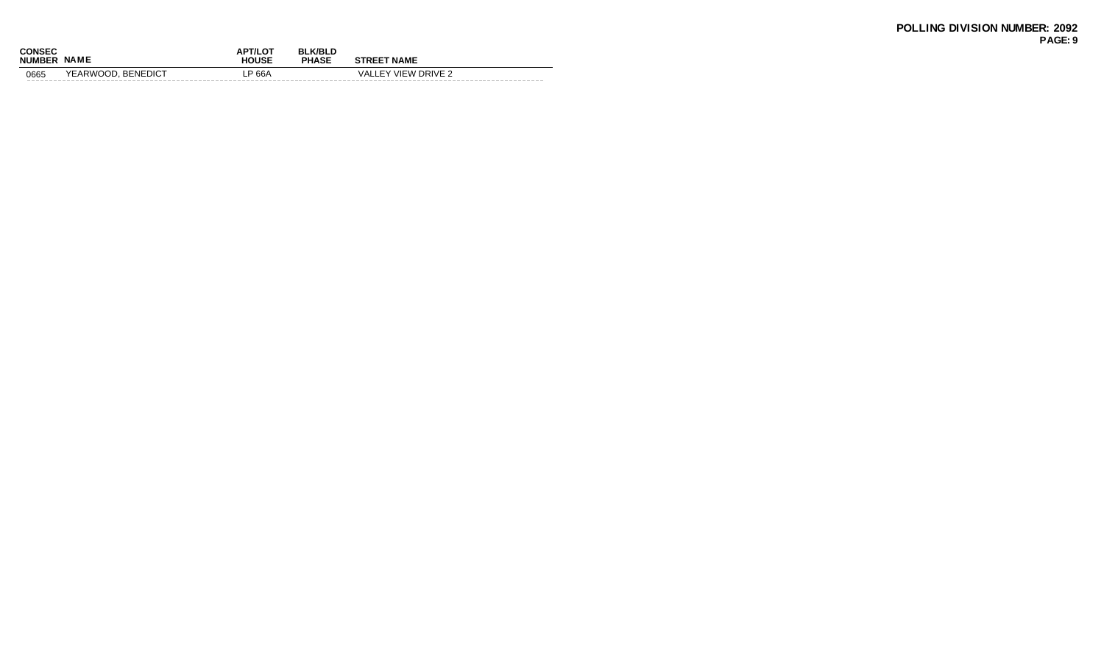| <b>CONSEC</b><br><b>NUMBER</b> | <b>NAME</b>        | <b>APT/LOT</b><br><b>HOUSE</b> | <b>BLK/BLD</b><br><b>PHASE</b> | <b>STREET NAME</b>  |
|--------------------------------|--------------------|--------------------------------|--------------------------------|---------------------|
| 0665                           | YEARWOOD, BENEDICT | P 66A.                         |                                | VALLEY VIEW DRIVE 2 |